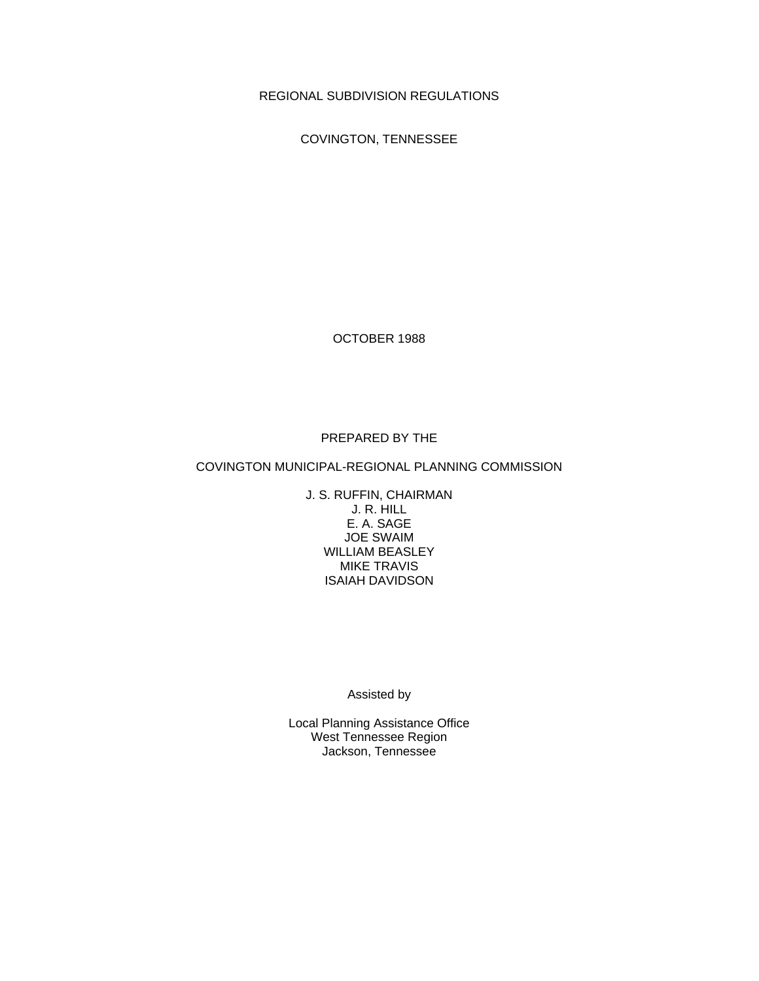REGIONAL SUBDIVISION REGULATIONS

COVINGTON, TENNESSEE

OCTOBER 1988

# PREPARED BY THE

# COVINGTON MUNICIPAL-REGIONAL PLANNING COMMISSION

J. S. RUFFIN, CHAIRMAN J. R. HILL E. A. SAGE JOE SWAIM WILLIAM BEASLEY MIKE TRAVIS ISAIAH DAVIDSON

Assisted by

Local Planning Assistance Office West Tennessee Region Jackson, Tennessee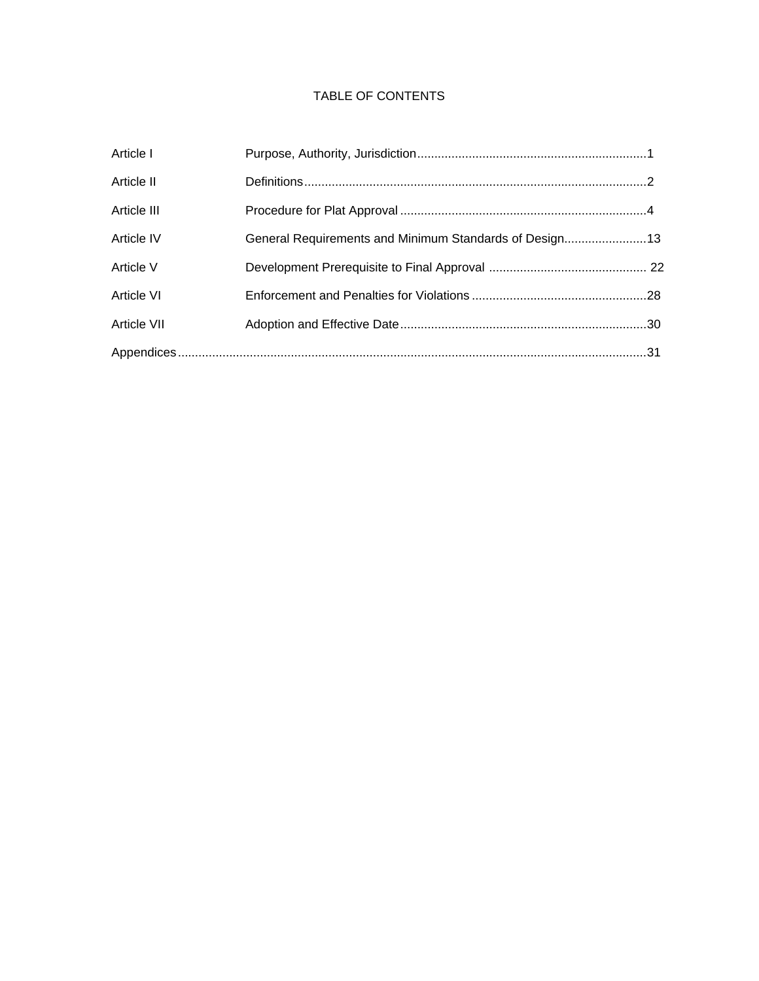# TABLE OF CONTENTS

| Article I   |                                                        |  |
|-------------|--------------------------------------------------------|--|
| Article II  |                                                        |  |
| Article III |                                                        |  |
| Article IV  | General Requirements and Minimum Standards of Design13 |  |
| Article V   |                                                        |  |
| Article VI  |                                                        |  |
| Article VII |                                                        |  |
|             |                                                        |  |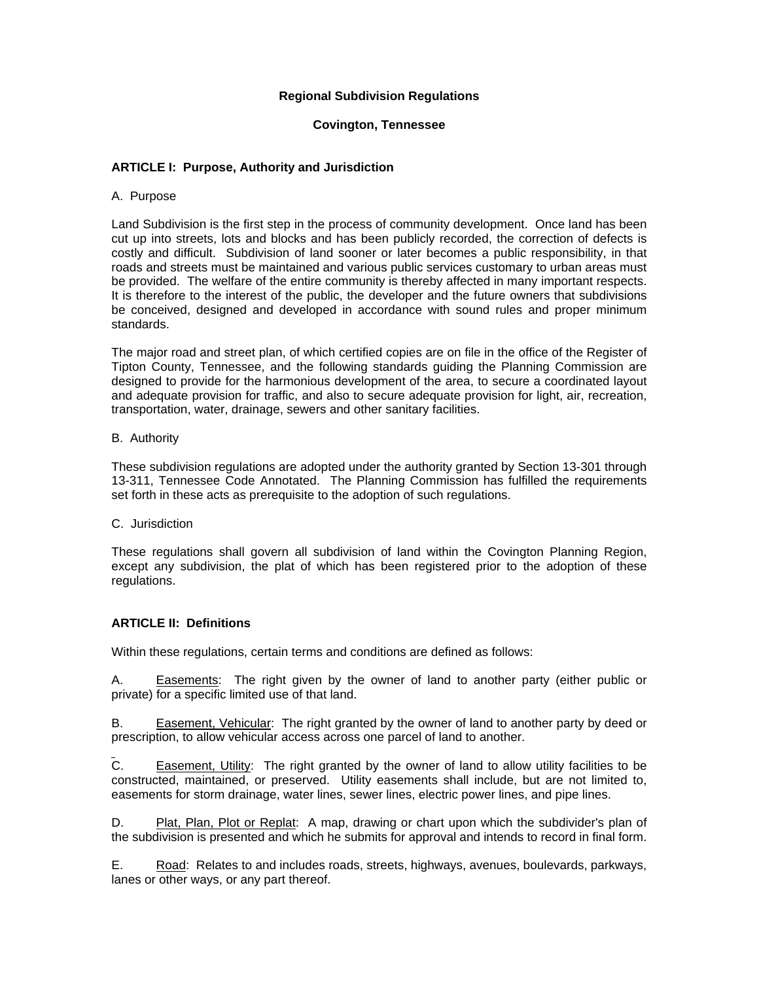# **Regional Subdivision Regulations**

## **Covington, Tennessee**

# **ARTICLE I: Purpose, Authority and Jurisdiction**

## A. Purpose

Land Subdivision is the first step in the process of community development. Once land has been cut up into streets, lots and blocks and has been publicly recorded, the correction of defects is costly and difficult. Subdivision of land sooner or later becomes a public responsibility, in that roads and streets must be maintained and various public services customary to urban areas must be provided. The welfare of the entire community is thereby affected in many important respects. It is therefore to the interest of the public, the developer and the future owners that subdivisions be conceived, designed and developed in accordance with sound rules and proper minimum standards.

The major road and street plan, of which certified copies are on file in the office of the Register of Tipton County, Tennessee, and the following standards guiding the Planning Commission are designed to provide for the harmonious development of the area, to secure a coordinated layout and adequate provision for traffic, and also to secure adequate provision for light, air, recreation, transportation, water, drainage, sewers and other sanitary facilities.

## B. Authority

These subdivision regulations are adopted under the authority granted by Section 13-301 through 13-311, Tennessee Code Annotated. The Planning Commission has fulfilled the requirements set forth in these acts as prerequisite to the adoption of such regulations.

## C. Jurisdiction

These regulations shall govern all subdivision of land within the Covington Planning Region, except any subdivision, the plat of which has been registered prior to the adoption of these regulations.

# **ARTICLE II: Definitions**

Within these regulations, certain terms and conditions are defined as follows:

A. Easements: The right given by the owner of land to another party (either public or private) for a specific limited use of that land.

B. Easement, Vehicular: The right granted by the owner of land to another party by deed or prescription, to allow vehicular access across one parcel of land to another.

C. Easement, Utility: The right granted by the owner of land to allow utility facilities to be constructed, maintained, or preserved. Utility easements shall include, but are not limited to, easements for storm drainage, water lines, sewer lines, electric power lines, and pipe lines.

D. Plat, Plan, Plot or Replat: A map, drawing or chart upon which the subdivider's plan of the subdivision is presented and which he submits for approval and intends to record in final form.

E. Road: Relates to and includes roads, streets, highways, avenues, boulevards, parkways, lanes or other ways, or any part thereof.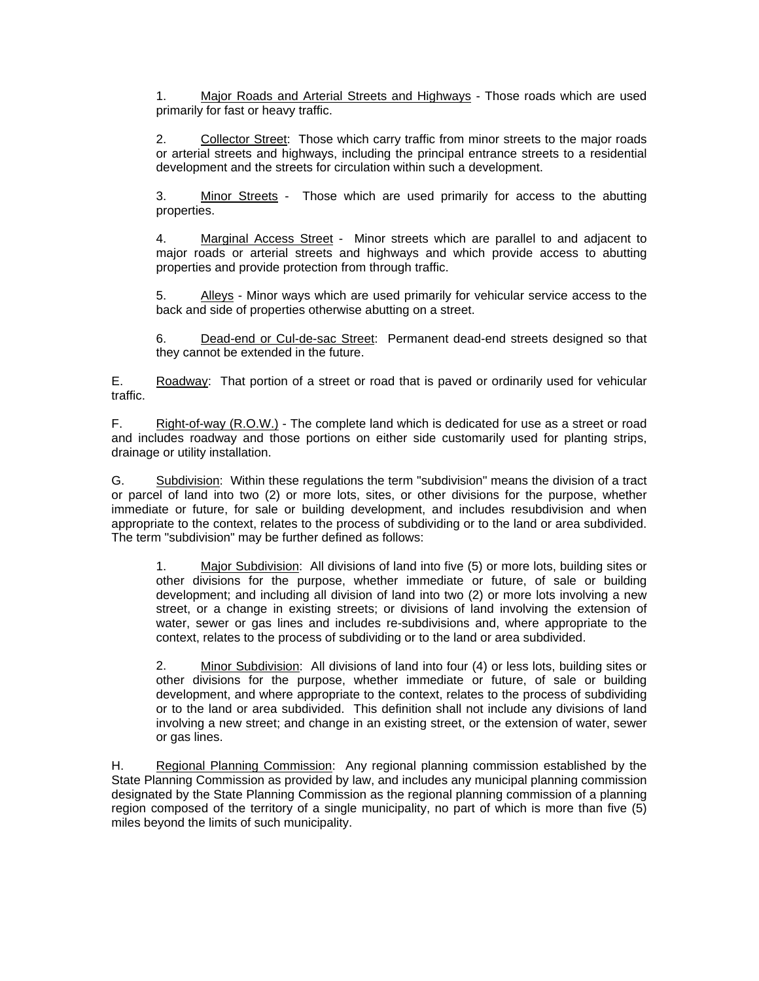1. Major Roads and Arterial Streets and Highways - Those roads which are used primarily for fast or heavy traffic.

2. Collector Street: Those which carry traffic from minor streets to the major roads or arterial streets and highways, including the principal entrance streets to a residential development and the streets for circulation within such a development.

3. Minor Streets - Those which are used primarily for access to the abutting properties.

4. Marginal Access Street - Minor streets which are parallel to and adjacent to major roads or arterial streets and highways and which provide access to abutting properties and provide protection from through traffic.

5. Alleys - Minor ways which are used primarily for vehicular service access to the back and side of properties otherwise abutting on a street.

6. Dead-end or Cul-de-sac Street: Permanent dead-end streets designed so that they cannot be extended in the future.

E. Roadway: That portion of a street or road that is paved or ordinarily used for vehicular traffic.

F. Right-of-way (R.O.W.) - The complete land which is dedicated for use as a street or road and includes roadway and those portions on either side customarily used for planting strips, drainage or utility installation.

G. Subdivision: Within these regulations the term "subdivision" means the division of a tract or parcel of land into two (2) or more lots, sites, or other divisions for the purpose, whether immediate or future, for sale or building development, and includes resubdivision and when appropriate to the context, relates to the process of subdividing or to the land or area subdivided. The term "subdivision" may be further defined as follows:

1. Major Subdivision: All divisions of land into five (5) or more lots, building sites or other divisions for the purpose, whether immediate or future, of sale or building development; and including all division of land into two (2) or more lots involving a new street, or a change in existing streets; or divisions of land involving the extension of water, sewer or gas lines and includes re-subdivisions and, where appropriate to the context, relates to the process of subdividing or to the land or area subdivided.

2. Minor Subdivision: All divisions of land into four (4) or less lots, building sites or other divisions for the purpose, whether immediate or future, of sale or building development, and where appropriate to the context, relates to the process of subdividing or to the land or area subdivided. This definition shall not include any divisions of land involving a new street; and change in an existing street, or the extension of water, sewer or gas lines.

H. Regional Planning Commission: Any regional planning commission established by the State Planning Commission as provided by law, and includes any municipal planning commission designated by the State Planning Commission as the regional planning commission of a planning region composed of the territory of a single municipality, no part of which is more than five (5) miles beyond the limits of such municipality.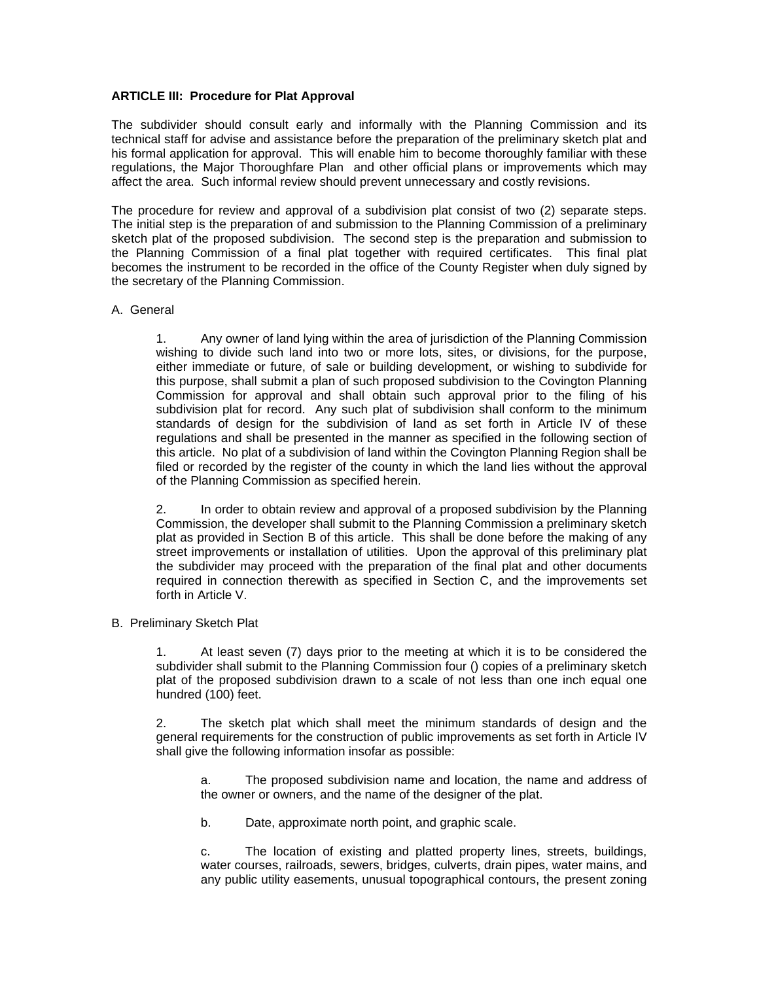# **ARTICLE III: Procedure for Plat Approval**

The subdivider should consult early and informally with the Planning Commission and its technical staff for advise and assistance before the preparation of the preliminary sketch plat and his formal application for approval. This will enable him to become thoroughly familiar with these regulations, the Major Thoroughfare Plan and other official plans or improvements which may affect the area. Such informal review should prevent unnecessary and costly revisions.

The procedure for review and approval of a subdivision plat consist of two (2) separate steps. The initial step is the preparation of and submission to the Planning Commission of a preliminary sketch plat of the proposed subdivision. The second step is the preparation and submission to the Planning Commission of a final plat together with required certificates. This final plat becomes the instrument to be recorded in the office of the County Register when duly signed by the secretary of the Planning Commission.

### A. General

1. Any owner of land lying within the area of jurisdiction of the Planning Commission wishing to divide such land into two or more lots, sites, or divisions, for the purpose, either immediate or future, of sale or building development, or wishing to subdivide for this purpose, shall submit a plan of such proposed subdivision to the Covington Planning Commission for approval and shall obtain such approval prior to the filing of his subdivision plat for record. Any such plat of subdivision shall conform to the minimum standards of design for the subdivision of land as set forth in Article IV of these regulations and shall be presented in the manner as specified in the following section of this article. No plat of a subdivision of land within the Covington Planning Region shall be filed or recorded by the register of the county in which the land lies without the approval of the Planning Commission as specified herein.

2. In order to obtain review and approval of a proposed subdivision by the Planning Commission, the developer shall submit to the Planning Commission a preliminary sketch plat as provided in Section B of this article. This shall be done before the making of any street improvements or installation of utilities. Upon the approval of this preliminary plat the subdivider may proceed with the preparation of the final plat and other documents required in connection therewith as specified in Section C, and the improvements set forth in Article V.

## B. Preliminary Sketch Plat

1. At least seven (7) days prior to the meeting at which it is to be considered the subdivider shall submit to the Planning Commission four () copies of a preliminary sketch plat of the proposed subdivision drawn to a scale of not less than one inch equal one hundred (100) feet.

2. The sketch plat which shall meet the minimum standards of design and the general requirements for the construction of public improvements as set forth in Article IV shall give the following information insofar as possible:

a. The proposed subdivision name and location, the name and address of the owner or owners, and the name of the designer of the plat.

b. Date, approximate north point, and graphic scale.

c. The location of existing and platted property lines, streets, buildings, water courses, railroads, sewers, bridges, culverts, drain pipes, water mains, and any public utility easements, unusual topographical contours, the present zoning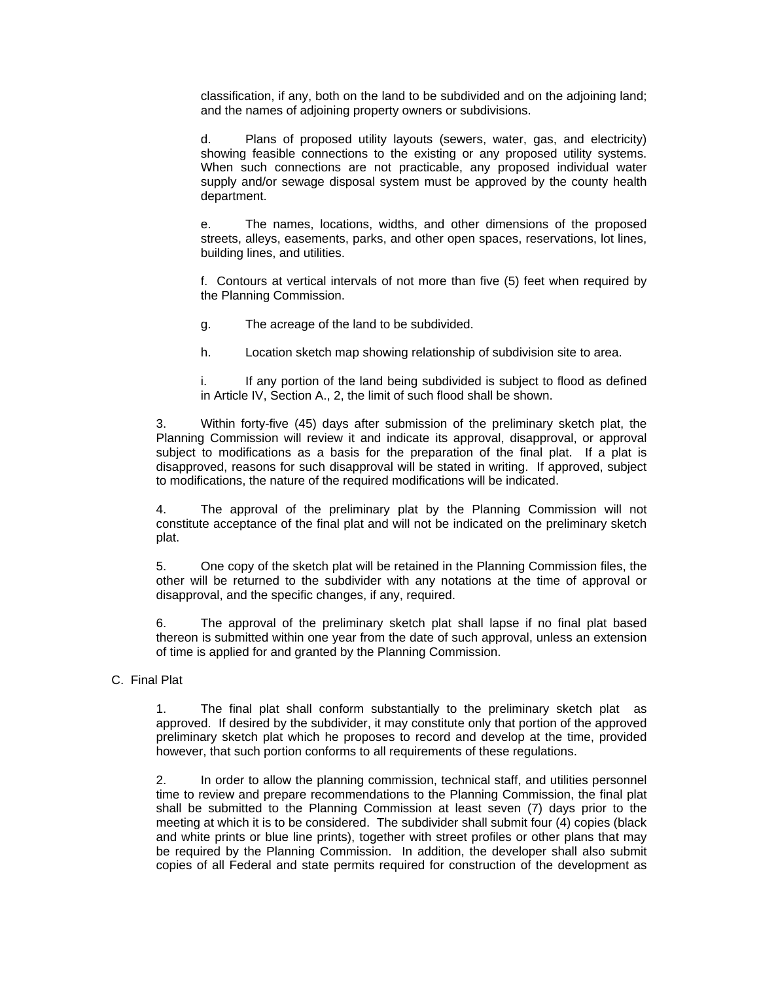classification, if any, both on the land to be subdivided and on the adjoining land; and the names of adjoining property owners or subdivisions.

d. Plans of proposed utility layouts (sewers, water, gas, and electricity) showing feasible connections to the existing or any proposed utility systems. When such connections are not practicable, any proposed individual water supply and/or sewage disposal system must be approved by the county health department.

e. The names, locations, widths, and other dimensions of the proposed streets, alleys, easements, parks, and other open spaces, reservations, lot lines, building lines, and utilities.

f. Contours at vertical intervals of not more than five (5) feet when required by the Planning Commission.

g. The acreage of the land to be subdivided.

h. Location sketch map showing relationship of subdivision site to area.

i. If any portion of the land being subdivided is subject to flood as defined in Article IV, Section A., 2, the limit of such flood shall be shown.

3. Within forty-five (45) days after submission of the preliminary sketch plat, the Planning Commission will review it and indicate its approval, disapproval, or approval subject to modifications as a basis for the preparation of the final plat. If a plat is disapproved, reasons for such disapproval will be stated in writing. If approved, subject to modifications, the nature of the required modifications will be indicated.

4. The approval of the preliminary plat by the Planning Commission will not constitute acceptance of the final plat and will not be indicated on the preliminary sketch plat.

5. One copy of the sketch plat will be retained in the Planning Commission files, the other will be returned to the subdivider with any notations at the time of approval or disapproval, and the specific changes, if any, required.

6. The approval of the preliminary sketch plat shall lapse if no final plat based thereon is submitted within one year from the date of such approval, unless an extension of time is applied for and granted by the Planning Commission.

# C. Final Plat

1. The final plat shall conform substantially to the preliminary sketch plat as approved. If desired by the subdivider, it may constitute only that portion of the approved preliminary sketch plat which he proposes to record and develop at the time, provided however, that such portion conforms to all requirements of these regulations.

2. In order to allow the planning commission, technical staff, and utilities personnel time to review and prepare recommendations to the Planning Commission, the final plat shall be submitted to the Planning Commission at least seven (7) days prior to the meeting at which it is to be considered. The subdivider shall submit four (4) copies (black and white prints or blue line prints), together with street profiles or other plans that may be required by the Planning Commission. In addition, the developer shall also submit copies of all Federal and state permits required for construction of the development as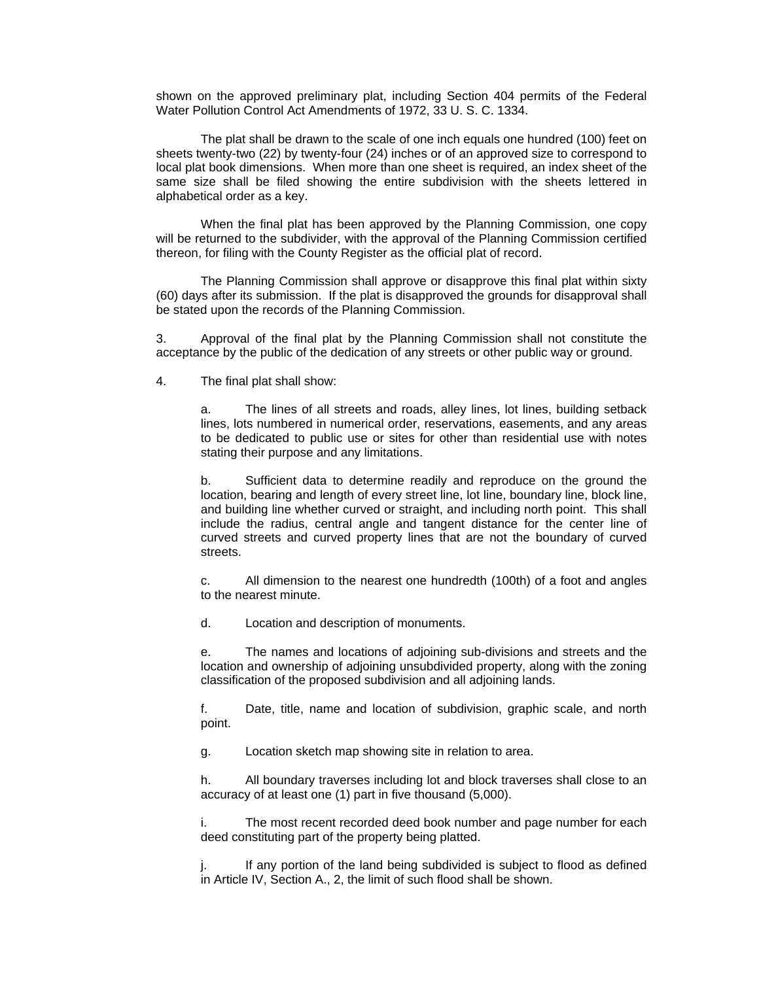shown on the approved preliminary plat, including Section 404 permits of the Federal Water Pollution Control Act Amendments of 1972, 33 U. S. C. 1334.

 The plat shall be drawn to the scale of one inch equals one hundred (100) feet on sheets twenty-two (22) by twenty-four (24) inches or of an approved size to correspond to local plat book dimensions. When more than one sheet is required, an index sheet of the same size shall be filed showing the entire subdivision with the sheets lettered in alphabetical order as a key.

 When the final plat has been approved by the Planning Commission, one copy will be returned to the subdivider, with the approval of the Planning Commission certified thereon, for filing with the County Register as the official plat of record.

 The Planning Commission shall approve or disapprove this final plat within sixty (60) days after its submission. If the plat is disapproved the grounds for disapproval shall be stated upon the records of the Planning Commission.

3. Approval of the final plat by the Planning Commission shall not constitute the acceptance by the public of the dedication of any streets or other public way or ground.

4. The final plat shall show:

a. The lines of all streets and roads, alley lines, lot lines, building setback lines, lots numbered in numerical order, reservations, easements, and any areas to be dedicated to public use or sites for other than residential use with notes stating their purpose and any limitations.

b. Sufficient data to determine readily and reproduce on the ground the location, bearing and length of every street line, lot line, boundary line, block line, and building line whether curved or straight, and including north point. This shall include the radius, central angle and tangent distance for the center line of curved streets and curved property lines that are not the boundary of curved streets.

c. All dimension to the nearest one hundredth (100th) of a foot and angles to the nearest minute.

d. Location and description of monuments.

e. The names and locations of adjoining sub-divisions and streets and the location and ownership of adjoining unsubdivided property, along with the zoning classification of the proposed subdivision and all adjoining lands.

f. Date, title, name and location of subdivision, graphic scale, and north point.

g. Location sketch map showing site in relation to area.

h. All boundary traverses including lot and block traverses shall close to an accuracy of at least one (1) part in five thousand (5,000).

i. The most recent recorded deed book number and page number for each deed constituting part of the property being platted.

If any portion of the land being subdivided is subject to flood as defined in Article IV, Section A., 2, the limit of such flood shall be shown.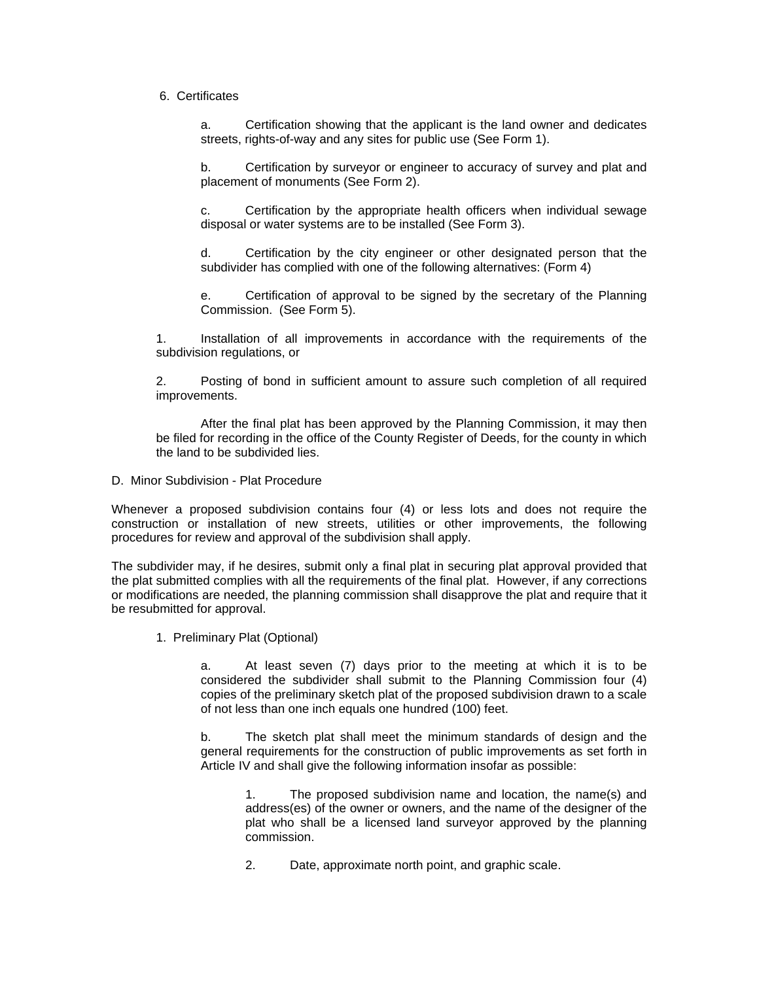6. Certificates

a. Certification showing that the applicant is the land owner and dedicates streets, rights-of-way and any sites for public use (See Form 1).

b. Certification by surveyor or engineer to accuracy of survey and plat and placement of monuments (See Form 2).

c. Certification by the appropriate health officers when individual sewage disposal or water systems are to be installed (See Form 3).

d. Certification by the city engineer or other designated person that the subdivider has complied with one of the following alternatives: (Form 4)

e. Certification of approval to be signed by the secretary of the Planning Commission. (See Form 5).

1. Installation of all improvements in accordance with the requirements of the subdivision regulations, or

2. Posting of bond in sufficient amount to assure such completion of all required improvements.

 After the final plat has been approved by the Planning Commission, it may then be filed for recording in the office of the County Register of Deeds, for the county in which the land to be subdivided lies.

D. Minor Subdivision - Plat Procedure

Whenever a proposed subdivision contains four (4) or less lots and does not require the construction or installation of new streets, utilities or other improvements, the following procedures for review and approval of the subdivision shall apply.

The subdivider may, if he desires, submit only a final plat in securing plat approval provided that the plat submitted complies with all the requirements of the final plat. However, if any corrections or modifications are needed, the planning commission shall disapprove the plat and require that it be resubmitted for approval.

1. Preliminary Plat (Optional)

a. At least seven (7) days prior to the meeting at which it is to be considered the subdivider shall submit to the Planning Commission four (4) copies of the preliminary sketch plat of the proposed subdivision drawn to a scale of not less than one inch equals one hundred (100) feet.

b. The sketch plat shall meet the minimum standards of design and the general requirements for the construction of public improvements as set forth in Article IV and shall give the following information insofar as possible:

1. The proposed subdivision name and location, the name(s) and address(es) of the owner or owners, and the name of the designer of the plat who shall be a licensed land surveyor approved by the planning commission.

2. Date, approximate north point, and graphic scale.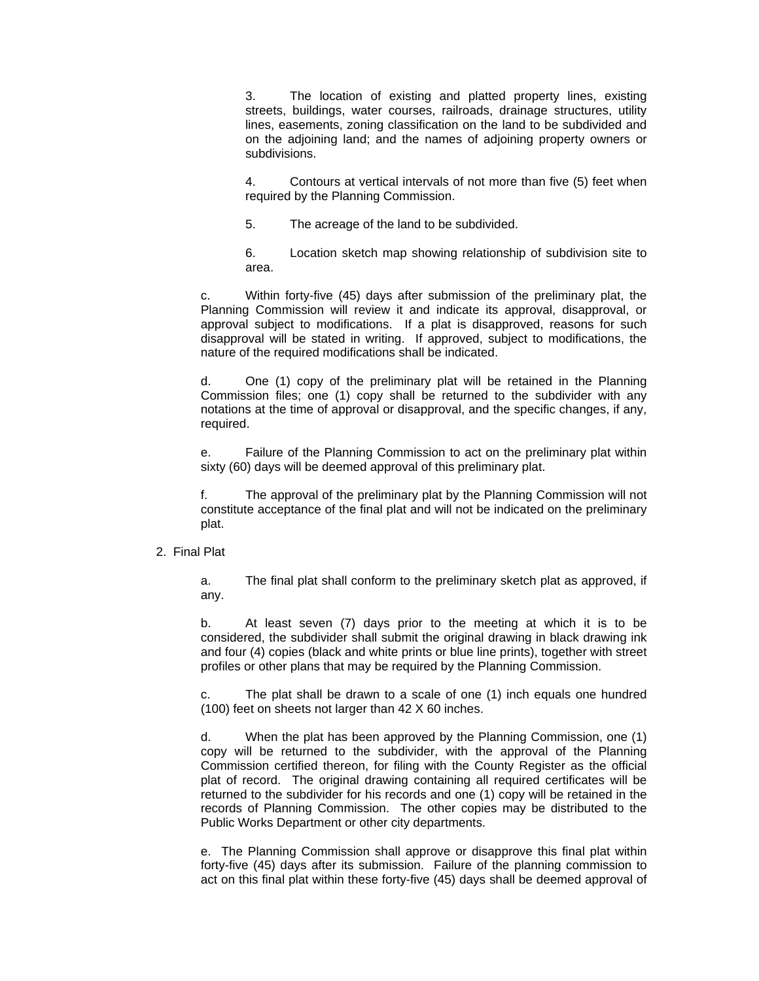3. The location of existing and platted property lines, existing streets, buildings, water courses, railroads, drainage structures, utility lines, easements, zoning classification on the land to be subdivided and on the adjoining land; and the names of adjoining property owners or subdivisions.

4. Contours at vertical intervals of not more than five (5) feet when required by the Planning Commission.

5. The acreage of the land to be subdivided.

6. Location sketch map showing relationship of subdivision site to area.

c. Within forty-five (45) days after submission of the preliminary plat, the Planning Commission will review it and indicate its approval, disapproval, or approval subject to modifications. If a plat is disapproved, reasons for such disapproval will be stated in writing. If approved, subject to modifications, the nature of the required modifications shall be indicated.

d. One (1) copy of the preliminary plat will be retained in the Planning Commission files; one (1) copy shall be returned to the subdivider with any notations at the time of approval or disapproval, and the specific changes, if any, required.

e. Failure of the Planning Commission to act on the preliminary plat within sixty (60) days will be deemed approval of this preliminary plat.

f. The approval of the preliminary plat by the Planning Commission will not constitute acceptance of the final plat and will not be indicated on the preliminary plat.

## 2. Final Plat

a. The final plat shall conform to the preliminary sketch plat as approved, if any.

b. At least seven (7) days prior to the meeting at which it is to be considered, the subdivider shall submit the original drawing in black drawing ink and four (4) copies (black and white prints or blue line prints), together with street profiles or other plans that may be required by the Planning Commission.

c. The plat shall be drawn to a scale of one (1) inch equals one hundred (100) feet on sheets not larger than 42 X 60 inches.

d. When the plat has been approved by the Planning Commission, one (1) copy will be returned to the subdivider, with the approval of the Planning Commission certified thereon, for filing with the County Register as the official plat of record. The original drawing containing all required certificates will be returned to the subdivider for his records and one (1) copy will be retained in the records of Planning Commission. The other copies may be distributed to the Public Works Department or other city departments.

e. The Planning Commission shall approve or disapprove this final plat within forty-five (45) days after its submission. Failure of the planning commission to act on this final plat within these forty-five (45) days shall be deemed approval of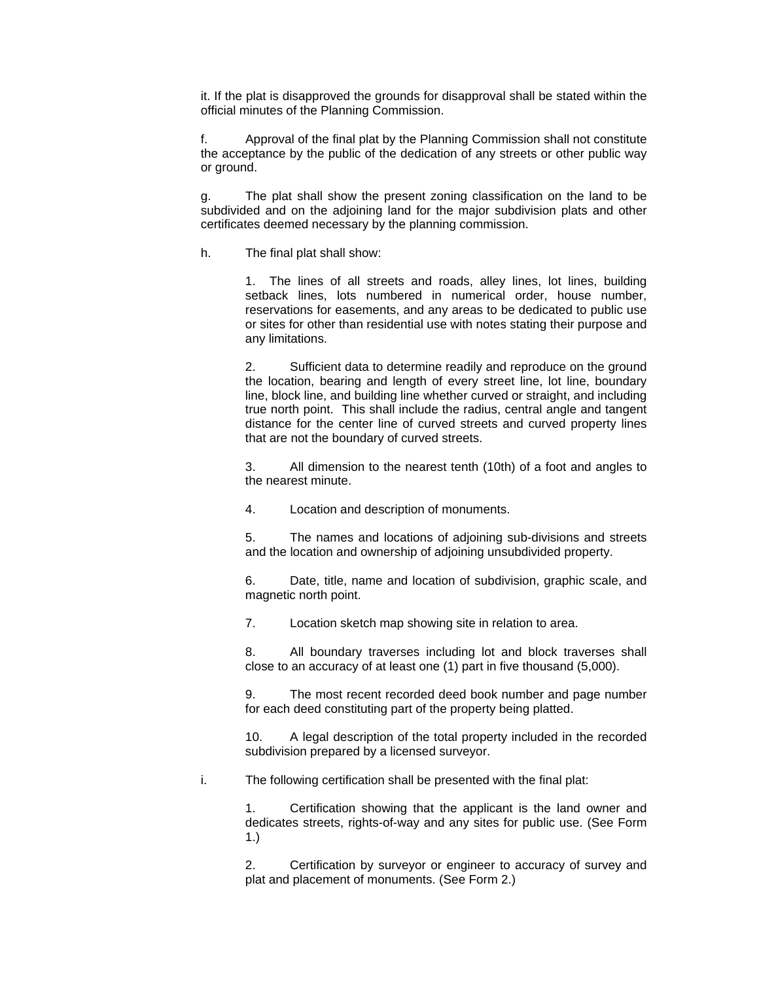it. If the plat is disapproved the grounds for disapproval shall be stated within the official minutes of the Planning Commission.

f. Approval of the final plat by the Planning Commission shall not constitute the acceptance by the public of the dedication of any streets or other public way or ground.

g. The plat shall show the present zoning classification on the land to be subdivided and on the adjoining land for the major subdivision plats and other certificates deemed necessary by the planning commission.

h. The final plat shall show:

1. The lines of all streets and roads, alley lines, lot lines, building setback lines, lots numbered in numerical order, house number, reservations for easements, and any areas to be dedicated to public use or sites for other than residential use with notes stating their purpose and any limitations.

2. Sufficient data to determine readily and reproduce on the ground the location, bearing and length of every street line, lot line, boundary line, block line, and building line whether curved or straight, and including true north point. This shall include the radius, central angle and tangent distance for the center line of curved streets and curved property lines that are not the boundary of curved streets.

3. All dimension to the nearest tenth (10th) of a foot and angles to the nearest minute.

4. Location and description of monuments.

5. The names and locations of adjoining sub-divisions and streets and the location and ownership of adjoining unsubdivided property.

6. Date, title, name and location of subdivision, graphic scale, and magnetic north point.

7. Location sketch map showing site in relation to area.

8. All boundary traverses including lot and block traverses shall close to an accuracy of at least one (1) part in five thousand (5,000).

9. The most recent recorded deed book number and page number for each deed constituting part of the property being platted.

10. A legal description of the total property included in the recorded subdivision prepared by a licensed surveyor.

i. The following certification shall be presented with the final plat:

1. Certification showing that the applicant is the land owner and dedicates streets, rights-of-way and any sites for public use. (See Form 1.)

2. Certification by surveyor or engineer to accuracy of survey and plat and placement of monuments. (See Form 2.)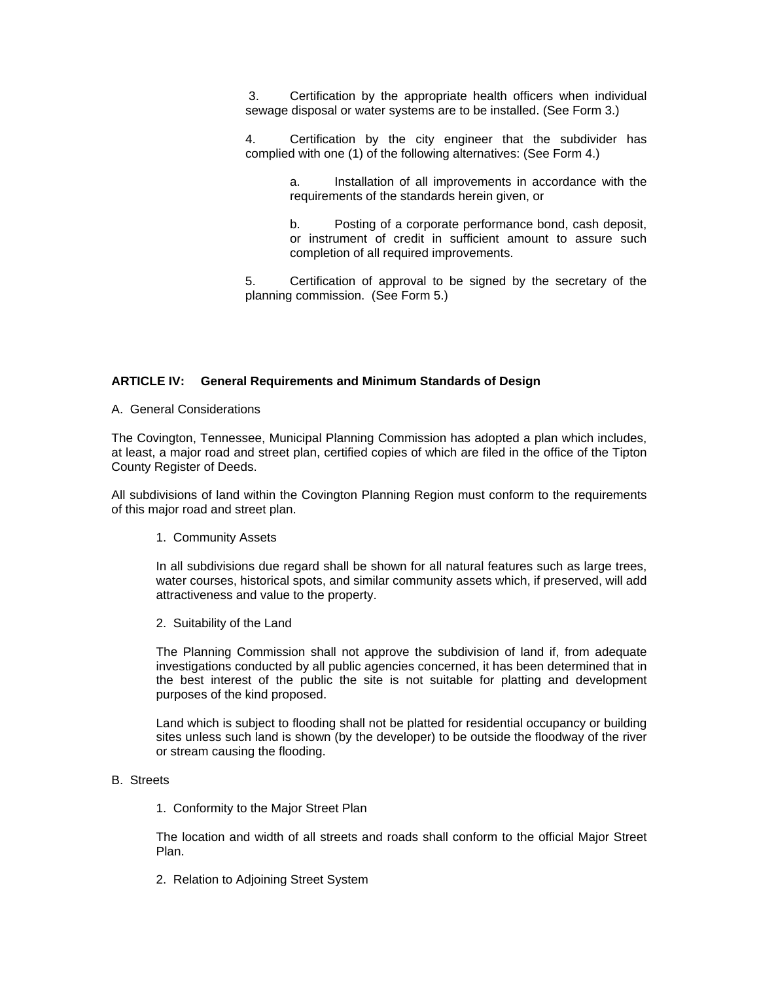3. Certification by the appropriate health officers when individual sewage disposal or water systems are to be installed. (See Form 3.)

4. Certification by the city engineer that the subdivider has complied with one (1) of the following alternatives: (See Form 4.)

> a. Installation of all improvements in accordance with the requirements of the standards herein given, or

> b. Posting of a corporate performance bond, cash deposit, or instrument of credit in sufficient amount to assure such completion of all required improvements.

5. Certification of approval to be signed by the secretary of the planning commission. (See Form 5.)

## **ARTICLE IV: General Requirements and Minimum Standards of Design**

A. General Considerations

The Covington, Tennessee, Municipal Planning Commission has adopted a plan which includes, at least, a major road and street plan, certified copies of which are filed in the office of the Tipton County Register of Deeds.

All subdivisions of land within the Covington Planning Region must conform to the requirements of this major road and street plan.

1. Community Assets

In all subdivisions due regard shall be shown for all natural features such as large trees, water courses, historical spots, and similar community assets which, if preserved, will add attractiveness and value to the property.

2. Suitability of the Land

The Planning Commission shall not approve the subdivision of land if, from adequate investigations conducted by all public agencies concerned, it has been determined that in the best interest of the public the site is not suitable for platting and development purposes of the kind proposed.

Land which is subject to flooding shall not be platted for residential occupancy or building sites unless such land is shown (by the developer) to be outside the floodway of the river or stream causing the flooding.

## B. Streets

1. Conformity to the Major Street Plan

The location and width of all streets and roads shall conform to the official Major Street Plan.

2. Relation to Adjoining Street System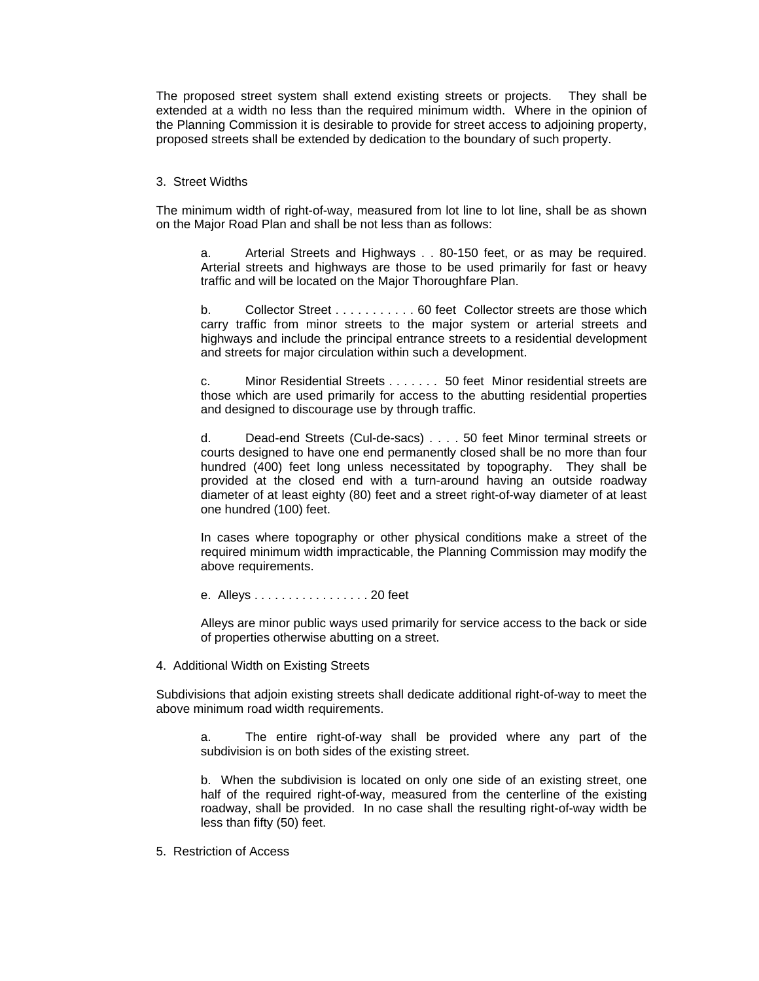The proposed street system shall extend existing streets or projects. They shall be extended at a width no less than the required minimum width. Where in the opinion of the Planning Commission it is desirable to provide for street access to adjoining property, proposed streets shall be extended by dedication to the boundary of such property.

## 3. Street Widths

The minimum width of right-of-way, measured from lot line to lot line, shall be as shown on the Major Road Plan and shall be not less than as follows:

a. Arterial Streets and Highways . . 80-150 feet, or as may be required. Arterial streets and highways are those to be used primarily for fast or heavy traffic and will be located on the Major Thoroughfare Plan.

b. Collector Street . . . . . . . . . . . 60 feet Collector streets are those which carry traffic from minor streets to the major system or arterial streets and highways and include the principal entrance streets to a residential development and streets for major circulation within such a development.

c. Minor Residential Streets . . . . . . . 50 feet Minor residential streets are those which are used primarily for access to the abutting residential properties and designed to discourage use by through traffic.

d. Dead-end Streets (Cul-de-sacs) . . . . 50 feet Minor terminal streets or courts designed to have one end permanently closed shall be no more than four hundred (400) feet long unless necessitated by topography. They shall be provided at the closed end with a turn-around having an outside roadway diameter of at least eighty (80) feet and a street right-of-way diameter of at least one hundred (100) feet.

In cases where topography or other physical conditions make a street of the required minimum width impracticable, the Planning Commission may modify the above requirements.

e. Alleys . . . . . . . . . . . . . . . . . 20 feet

Alleys are minor public ways used primarily for service access to the back or side of properties otherwise abutting on a street.

4. Additional Width on Existing Streets

Subdivisions that adjoin existing streets shall dedicate additional right-of-way to meet the above minimum road width requirements.

a. The entire right-of-way shall be provided where any part of the subdivision is on both sides of the existing street.

b. When the subdivision is located on only one side of an existing street, one half of the required right-of-way, measured from the centerline of the existing roadway, shall be provided. In no case shall the resulting right-of-way width be less than fifty (50) feet.

5. Restriction of Access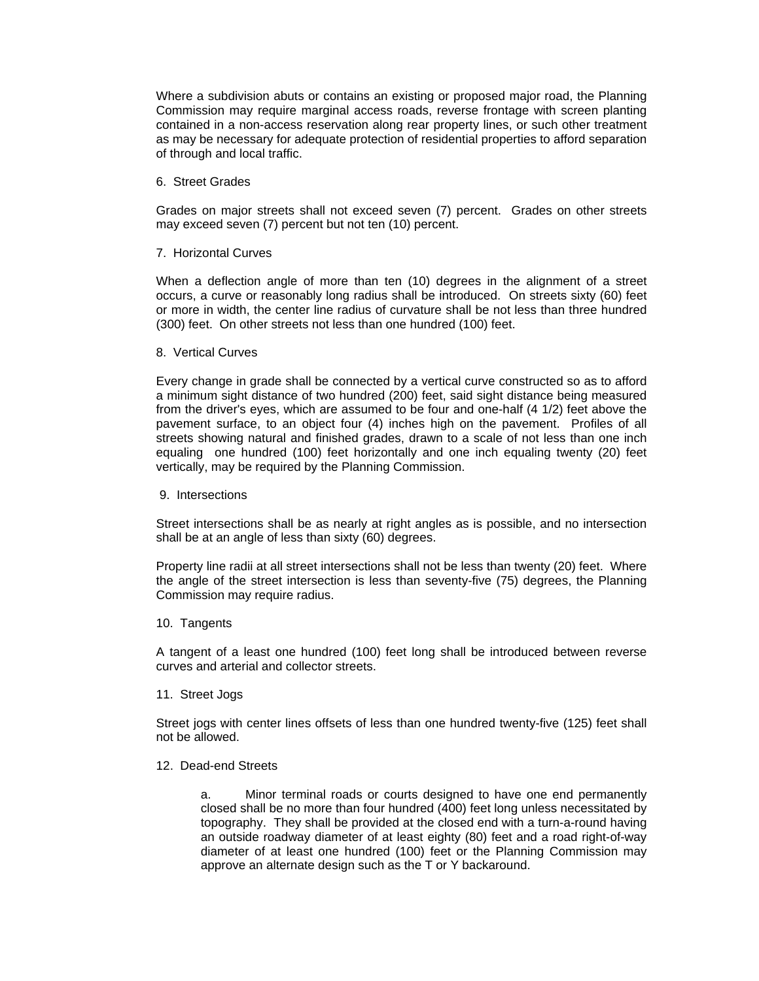Where a subdivision abuts or contains an existing or proposed major road, the Planning Commission may require marginal access roads, reverse frontage with screen planting contained in a non-access reservation along rear property lines, or such other treatment as may be necessary for adequate protection of residential properties to afford separation of through and local traffic.

#### 6. Street Grades

Grades on major streets shall not exceed seven (7) percent. Grades on other streets may exceed seven (7) percent but not ten (10) percent.

### 7. Horizontal Curves

When a deflection angle of more than ten (10) degrees in the alignment of a street occurs, a curve or reasonably long radius shall be introduced. On streets sixty (60) feet or more in width, the center line radius of curvature shall be not less than three hundred (300) feet. On other streets not less than one hundred (100) feet.

#### 8. Vertical Curves

Every change in grade shall be connected by a vertical curve constructed so as to afford a minimum sight distance of two hundred (200) feet, said sight distance being measured from the driver's eyes, which are assumed to be four and one-half (4 1/2) feet above the pavement surface, to an object four (4) inches high on the pavement. Profiles of all streets showing natural and finished grades, drawn to a scale of not less than one inch equaling one hundred (100) feet horizontally and one inch equaling twenty (20) feet vertically, may be required by the Planning Commission.

#### 9. Intersections

Street intersections shall be as nearly at right angles as is possible, and no intersection shall be at an angle of less than sixty (60) degrees.

Property line radii at all street intersections shall not be less than twenty (20) feet. Where the angle of the street intersection is less than seventy-five (75) degrees, the Planning Commission may require radius.

#### 10. Tangents

A tangent of a least one hundred (100) feet long shall be introduced between reverse curves and arterial and collector streets.

### 11. Street Jogs

Street jogs with center lines offsets of less than one hundred twenty-five (125) feet shall not be allowed.

#### 12. Dead-end Streets

a. Minor terminal roads or courts designed to have one end permanently closed shall be no more than four hundred (400) feet long unless necessitated by topography. They shall be provided at the closed end with a turn-a-round having an outside roadway diameter of at least eighty (80) feet and a road right-of-way diameter of at least one hundred (100) feet or the Planning Commission may approve an alternate design such as the T or Y backaround.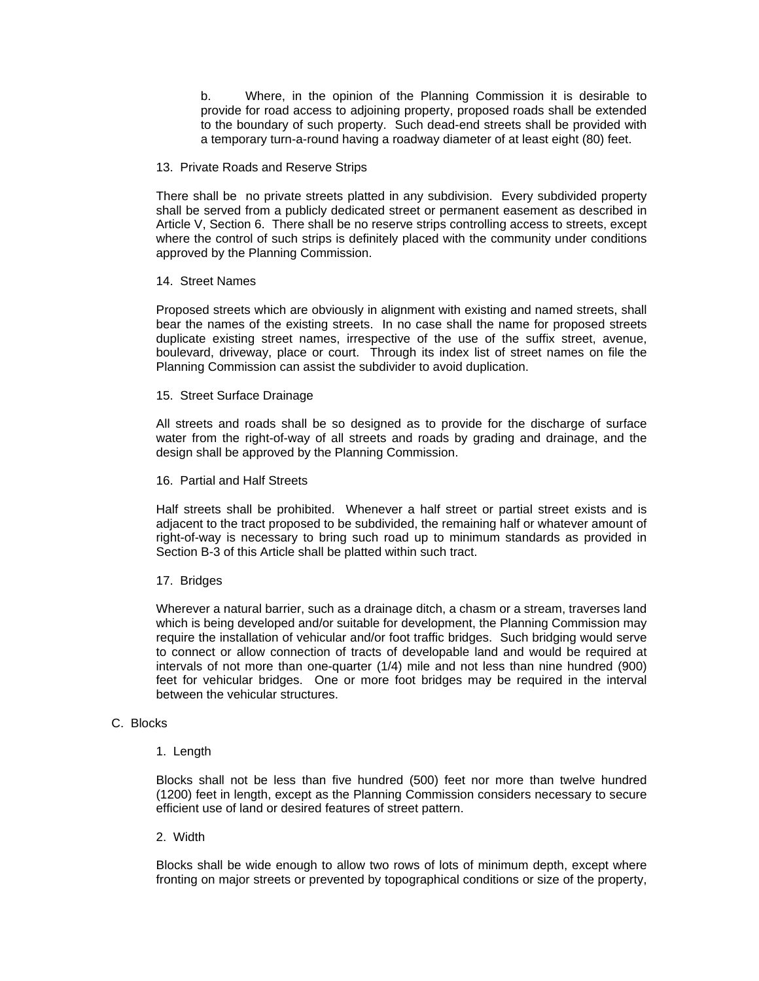b. Where, in the opinion of the Planning Commission it is desirable to provide for road access to adjoining property, proposed roads shall be extended to the boundary of such property. Such dead-end streets shall be provided with a temporary turn-a-round having a roadway diameter of at least eight (80) feet.

## 13. Private Roads and Reserve Strips

There shall be no private streets platted in any subdivision. Every subdivided property shall be served from a publicly dedicated street or permanent easement as described in Article V, Section 6. There shall be no reserve strips controlling access to streets, except where the control of such strips is definitely placed with the community under conditions approved by the Planning Commission.

### 14. Street Names

Proposed streets which are obviously in alignment with existing and named streets, shall bear the names of the existing streets. In no case shall the name for proposed streets duplicate existing street names, irrespective of the use of the suffix street, avenue, boulevard, driveway, place or court. Through its index list of street names on file the Planning Commission can assist the subdivider to avoid duplication.

### 15. Street Surface Drainage

All streets and roads shall be so designed as to provide for the discharge of surface water from the right-of-way of all streets and roads by grading and drainage, and the design shall be approved by the Planning Commission.

### 16. Partial and Half Streets

Half streets shall be prohibited. Whenever a half street or partial street exists and is adjacent to the tract proposed to be subdivided, the remaining half or whatever amount of right-of-way is necessary to bring such road up to minimum standards as provided in Section B-3 of this Article shall be platted within such tract.

## 17. Bridges

Wherever a natural barrier, such as a drainage ditch, a chasm or a stream, traverses land which is being developed and/or suitable for development, the Planning Commission may require the installation of vehicular and/or foot traffic bridges. Such bridging would serve to connect or allow connection of tracts of developable land and would be required at intervals of not more than one-quarter (1/4) mile and not less than nine hundred (900) feet for vehicular bridges. One or more foot bridges may be required in the interval between the vehicular structures.

## C. Blocks

1. Length

Blocks shall not be less than five hundred (500) feet nor more than twelve hundred (1200) feet in length, except as the Planning Commission considers necessary to secure efficient use of land or desired features of street pattern.

## 2. Width

Blocks shall be wide enough to allow two rows of lots of minimum depth, except where fronting on major streets or prevented by topographical conditions or size of the property,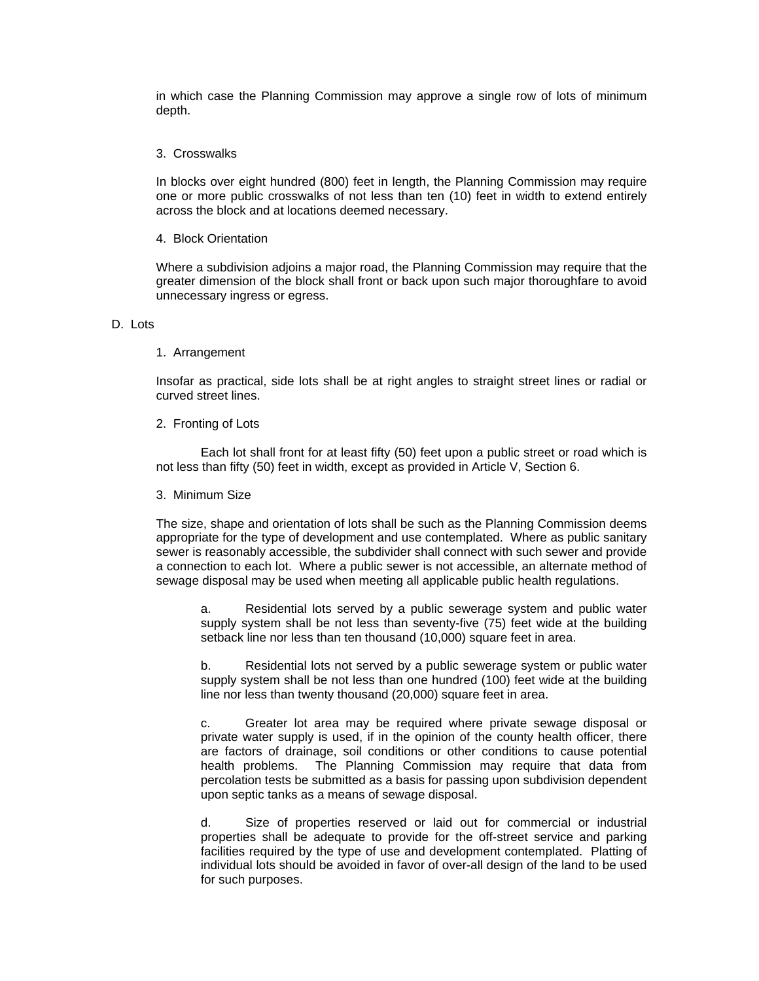in which case the Planning Commission may approve a single row of lots of minimum depth.

## 3. Crosswalks

In blocks over eight hundred (800) feet in length, the Planning Commission may require one or more public crosswalks of not less than ten (10) feet in width to extend entirely across the block and at locations deemed necessary.

#### 4. Block Orientation

Where a subdivision adjoins a major road, the Planning Commission may require that the greater dimension of the block shall front or back upon such major thoroughfare to avoid unnecessary ingress or egress.

#### D. Lots

### 1. Arrangement

Insofar as practical, side lots shall be at right angles to straight street lines or radial or curved street lines.

### 2. Fronting of Lots

 Each lot shall front for at least fifty (50) feet upon a public street or road which is not less than fifty (50) feet in width, except as provided in Article V, Section 6.

## 3. Minimum Size

The size, shape and orientation of lots shall be such as the Planning Commission deems appropriate for the type of development and use contemplated. Where as public sanitary sewer is reasonably accessible, the subdivider shall connect with such sewer and provide a connection to each lot. Where a public sewer is not accessible, an alternate method of sewage disposal may be used when meeting all applicable public health regulations.

a. Residential lots served by a public sewerage system and public water supply system shall be not less than seventy-five (75) feet wide at the building setback line nor less than ten thousand (10,000) square feet in area.

b. Residential lots not served by a public sewerage system or public water supply system shall be not less than one hundred (100) feet wide at the building line nor less than twenty thousand (20,000) square feet in area.

c. Greater lot area may be required where private sewage disposal or private water supply is used, if in the opinion of the county health officer, there are factors of drainage, soil conditions or other conditions to cause potential health problems. The Planning Commission may require that data from percolation tests be submitted as a basis for passing upon subdivision dependent upon septic tanks as a means of sewage disposal.

d. Size of properties reserved or laid out for commercial or industrial properties shall be adequate to provide for the off-street service and parking facilities required by the type of use and development contemplated. Platting of individual lots should be avoided in favor of over-all design of the land to be used for such purposes.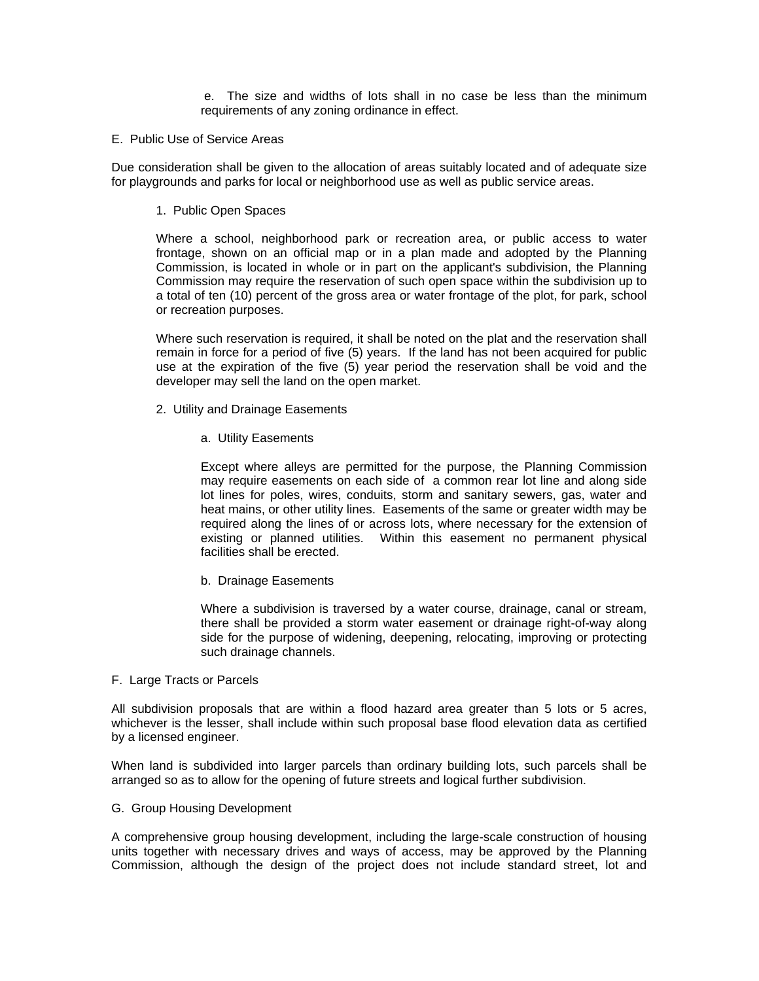e. The size and widths of lots shall in no case be less than the minimum requirements of any zoning ordinance in effect.

## E. Public Use of Service Areas

Due consideration shall be given to the allocation of areas suitably located and of adequate size for playgrounds and parks for local or neighborhood use as well as public service areas.

1. Public Open Spaces

Where a school, neighborhood park or recreation area, or public access to water frontage, shown on an official map or in a plan made and adopted by the Planning Commission, is located in whole or in part on the applicant's subdivision, the Planning Commission may require the reservation of such open space within the subdivision up to a total of ten (10) percent of the gross area or water frontage of the plot, for park, school or recreation purposes.

Where such reservation is required, it shall be noted on the plat and the reservation shall remain in force for a period of five (5) years. If the land has not been acquired for public use at the expiration of the five (5) year period the reservation shall be void and the developer may sell the land on the open market.

- 2. Utility and Drainage Easements
	- a. Utility Easements

Except where alleys are permitted for the purpose, the Planning Commission may require easements on each side of a common rear lot line and along side lot lines for poles, wires, conduits, storm and sanitary sewers, gas, water and heat mains, or other utility lines. Easements of the same or greater width may be required along the lines of or across lots, where necessary for the extension of existing or planned utilities. Within this easement no permanent physical facilities shall be erected.

b. Drainage Easements

Where a subdivision is traversed by a water course, drainage, canal or stream, there shall be provided a storm water easement or drainage right-of-way along side for the purpose of widening, deepening, relocating, improving or protecting such drainage channels.

### F. Large Tracts or Parcels

All subdivision proposals that are within a flood hazard area greater than 5 lots or 5 acres, whichever is the lesser, shall include within such proposal base flood elevation data as certified by a licensed engineer.

When land is subdivided into larger parcels than ordinary building lots, such parcels shall be arranged so as to allow for the opening of future streets and logical further subdivision.

#### G. Group Housing Development

A comprehensive group housing development, including the large-scale construction of housing units together with necessary drives and ways of access, may be approved by the Planning Commission, although the design of the project does not include standard street, lot and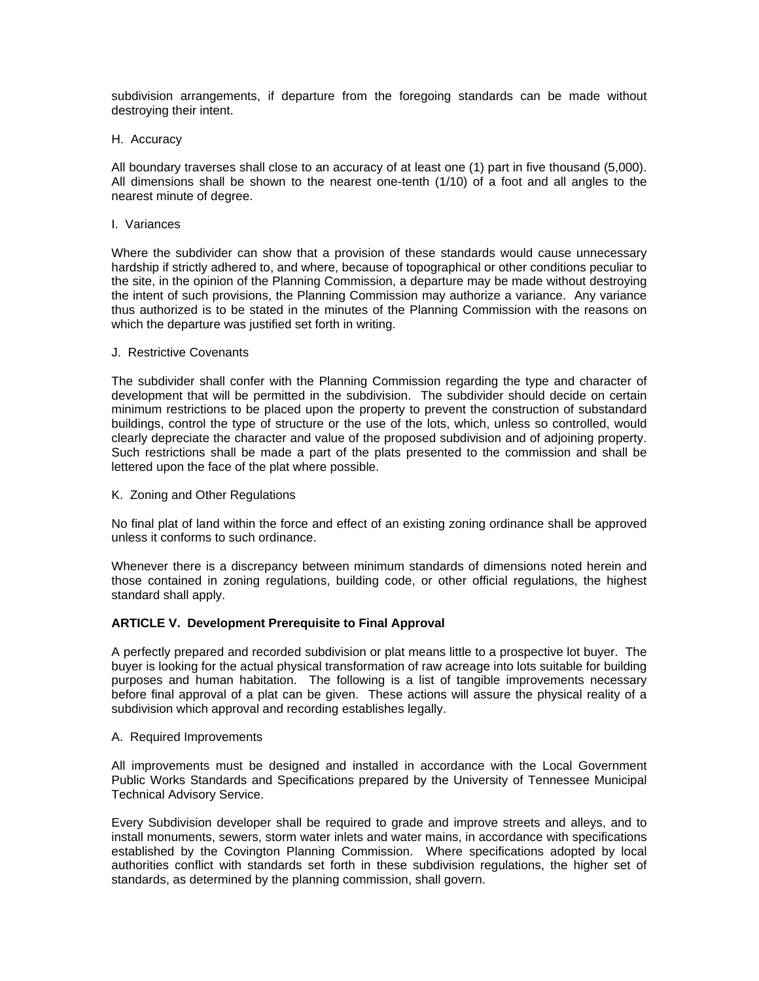subdivision arrangements, if departure from the foregoing standards can be made without destroying their intent.

### H. Accuracy

All boundary traverses shall close to an accuracy of at least one (1) part in five thousand (5,000). All dimensions shall be shown to the nearest one-tenth (1/10) of a foot and all angles to the nearest minute of degree.

### I. Variances

Where the subdivider can show that a provision of these standards would cause unnecessary hardship if strictly adhered to, and where, because of topographical or other conditions peculiar to the site, in the opinion of the Planning Commission, a departure may be made without destroying the intent of such provisions, the Planning Commission may authorize a variance. Any variance thus authorized is to be stated in the minutes of the Planning Commission with the reasons on which the departure was justified set forth in writing.

### J. Restrictive Covenants

The subdivider shall confer with the Planning Commission regarding the type and character of development that will be permitted in the subdivision. The subdivider should decide on certain minimum restrictions to be placed upon the property to prevent the construction of substandard buildings, control the type of structure or the use of the lots, which, unless so controlled, would clearly depreciate the character and value of the proposed subdivision and of adjoining property. Such restrictions shall be made a part of the plats presented to the commission and shall be lettered upon the face of the plat where possible.

## K. Zoning and Other Regulations

No final plat of land within the force and effect of an existing zoning ordinance shall be approved unless it conforms to such ordinance.

Whenever there is a discrepancy between minimum standards of dimensions noted herein and those contained in zoning regulations, building code, or other official regulations, the highest standard shall apply.

## **ARTICLE V. Development Prerequisite to Final Approval**

A perfectly prepared and recorded subdivision or plat means little to a prospective lot buyer. The buyer is looking for the actual physical transformation of raw acreage into lots suitable for building purposes and human habitation. The following is a list of tangible improvements necessary before final approval of a plat can be given. These actions will assure the physical reality of a subdivision which approval and recording establishes legally.

## A. Required Improvements

All improvements must be designed and installed in accordance with the Local Government Public Works Standards and Specifications prepared by the University of Tennessee Municipal Technical Advisory Service.

Every Subdivision developer shall be required to grade and improve streets and alleys, and to install monuments, sewers, storm water inlets and water mains, in accordance with specifications established by the Covington Planning Commission. Where specifications adopted by local authorities conflict with standards set forth in these subdivision regulations, the higher set of standards, as determined by the planning commission, shall govern.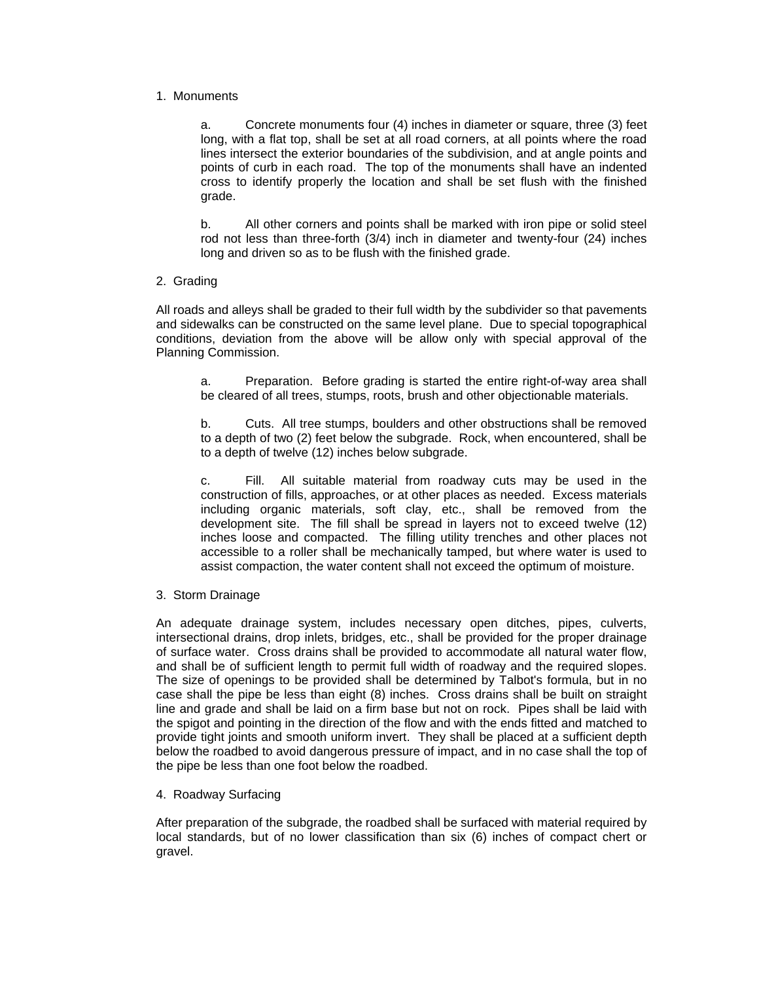# 1. Monuments

a. Concrete monuments four (4) inches in diameter or square, three (3) feet long, with a flat top, shall be set at all road corners, at all points where the road lines intersect the exterior boundaries of the subdivision, and at angle points and points of curb in each road. The top of the monuments shall have an indented cross to identify properly the location and shall be set flush with the finished grade.

b. All other corners and points shall be marked with iron pipe or solid steel rod not less than three-forth (3/4) inch in diameter and twenty-four (24) inches long and driven so as to be flush with the finished grade.

# 2. Grading

All roads and alleys shall be graded to their full width by the subdivider so that pavements and sidewalks can be constructed on the same level plane. Due to special topographical conditions, deviation from the above will be allow only with special approval of the Planning Commission.

a. Preparation. Before grading is started the entire right-of-way area shall be cleared of all trees, stumps, roots, brush and other objectionable materials.

b. Cuts. All tree stumps, boulders and other obstructions shall be removed to a depth of two (2) feet below the subgrade. Rock, when encountered, shall be to a depth of twelve (12) inches below subgrade.

c. Fill. All suitable material from roadway cuts may be used in the construction of fills, approaches, or at other places as needed. Excess materials including organic materials, soft clay, etc., shall be removed from the development site. The fill shall be spread in layers not to exceed twelve (12) inches loose and compacted. The filling utility trenches and other places not accessible to a roller shall be mechanically tamped, but where water is used to assist compaction, the water content shall not exceed the optimum of moisture.

3. Storm Drainage

An adequate drainage system, includes necessary open ditches, pipes, culverts, intersectional drains, drop inlets, bridges, etc., shall be provided for the proper drainage of surface water. Cross drains shall be provided to accommodate all natural water flow, and shall be of sufficient length to permit full width of roadway and the required slopes. The size of openings to be provided shall be determined by Talbot's formula, but in no case shall the pipe be less than eight (8) inches. Cross drains shall be built on straight line and grade and shall be laid on a firm base but not on rock. Pipes shall be laid with the spigot and pointing in the direction of the flow and with the ends fitted and matched to provide tight joints and smooth uniform invert. They shall be placed at a sufficient depth below the roadbed to avoid dangerous pressure of impact, and in no case shall the top of the pipe be less than one foot below the roadbed.

4. Roadway Surfacing

After preparation of the subgrade, the roadbed shall be surfaced with material required by local standards, but of no lower classification than six (6) inches of compact chert or gravel.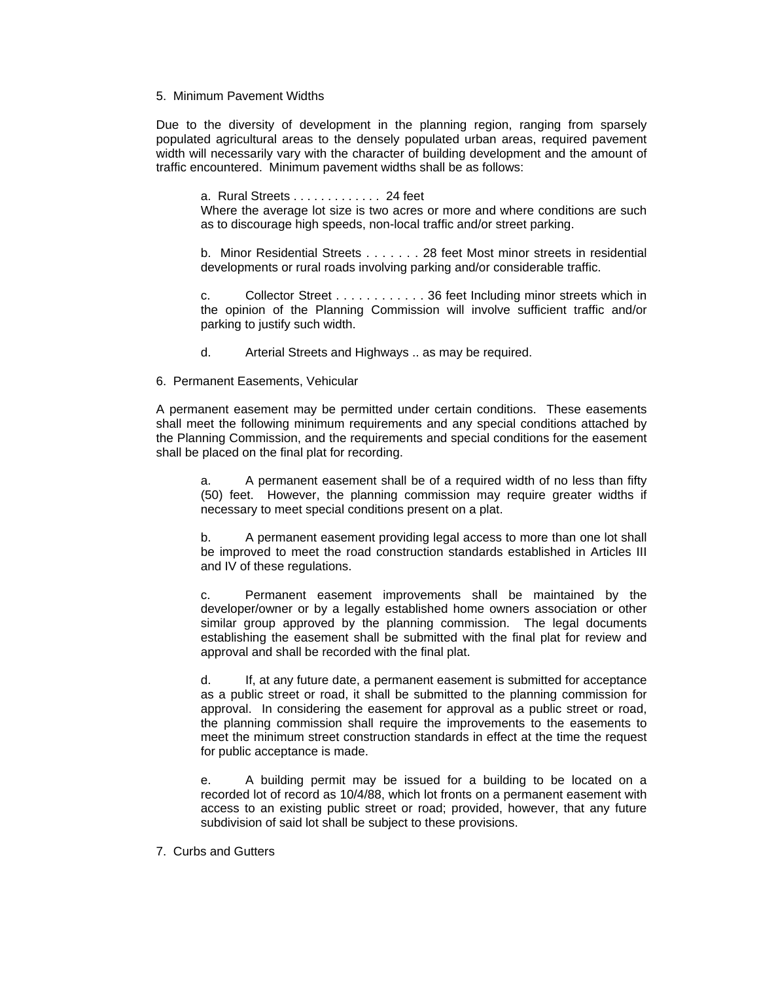## 5. Minimum Pavement Widths

Due to the diversity of development in the planning region, ranging from sparsely populated agricultural areas to the densely populated urban areas, required pavement width will necessarily vary with the character of building development and the amount of traffic encountered. Minimum pavement widths shall be as follows:

a. Rural Streets . . . . . . . . . . . . . 24 feet

Where the average lot size is two acres or more and where conditions are such as to discourage high speeds, non-local traffic and/or street parking.

b. Minor Residential Streets . . . . . . . 28 feet Most minor streets in residential developments or rural roads involving parking and/or considerable traffic.

c. Collector Street . . . . . . . . . . . . 36 feet Including minor streets which in the opinion of the Planning Commission will involve sufficient traffic and/or parking to justify such width.

- d. Arterial Streets and Highways .. as may be required.
- 6. Permanent Easements, Vehicular

A permanent easement may be permitted under certain conditions. These easements shall meet the following minimum requirements and any special conditions attached by the Planning Commission, and the requirements and special conditions for the easement shall be placed on the final plat for recording.

a. A permanent easement shall be of a required width of no less than fifty (50) feet. However, the planning commission may require greater widths if necessary to meet special conditions present on a plat.

b. A permanent easement providing legal access to more than one lot shall be improved to meet the road construction standards established in Articles III and IV of these regulations.

c. Permanent easement improvements shall be maintained by the developer/owner or by a legally established home owners association or other similar group approved by the planning commission. The legal documents establishing the easement shall be submitted with the final plat for review and approval and shall be recorded with the final plat.

d. If, at any future date, a permanent easement is submitted for acceptance as a public street or road, it shall be submitted to the planning commission for approval. In considering the easement for approval as a public street or road, the planning commission shall require the improvements to the easements to meet the minimum street construction standards in effect at the time the request for public acceptance is made.

e. A building permit may be issued for a building to be located on a recorded lot of record as 10/4/88, which lot fronts on a permanent easement with access to an existing public street or road; provided, however, that any future subdivision of said lot shall be subject to these provisions.

7. Curbs and Gutters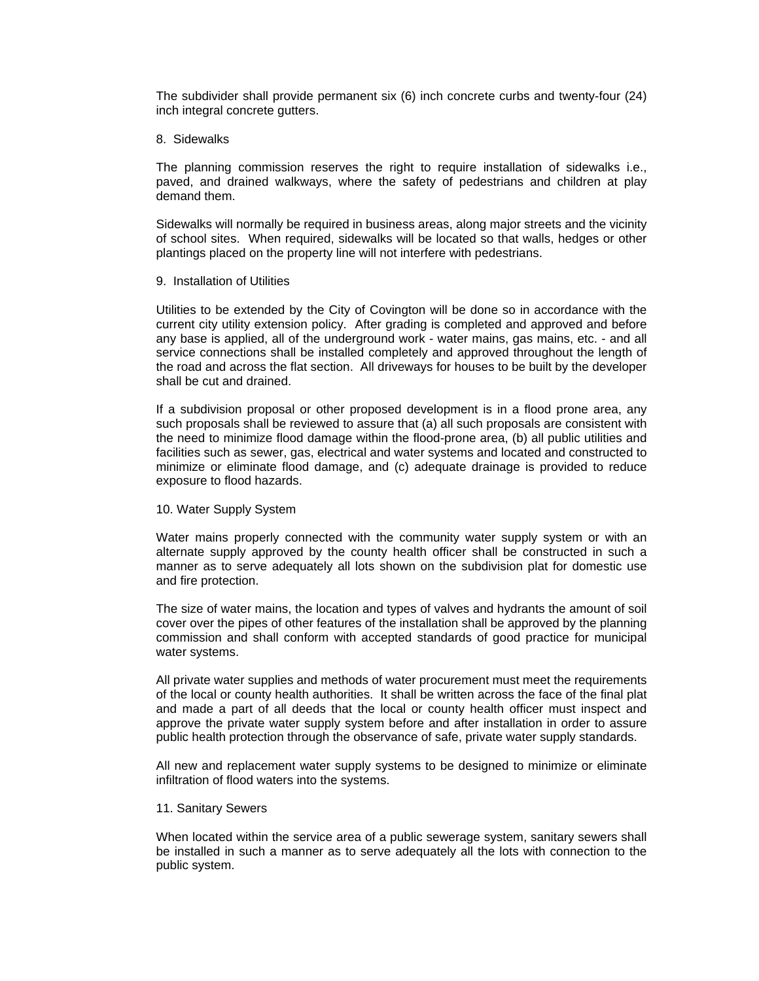The subdivider shall provide permanent six (6) inch concrete curbs and twenty-four (24) inch integral concrete gutters.

#### 8. Sidewalks

The planning commission reserves the right to require installation of sidewalks i.e., paved, and drained walkways, where the safety of pedestrians and children at play demand them.

Sidewalks will normally be required in business areas, along major streets and the vicinity of school sites. When required, sidewalks will be located so that walls, hedges or other plantings placed on the property line will not interfere with pedestrians.

### 9. Installation of Utilities

Utilities to be extended by the City of Covington will be done so in accordance with the current city utility extension policy. After grading is completed and approved and before any base is applied, all of the underground work - water mains, gas mains, etc. - and all service connections shall be installed completely and approved throughout the length of the road and across the flat section. All driveways for houses to be built by the developer shall be cut and drained.

If a subdivision proposal or other proposed development is in a flood prone area, any such proposals shall be reviewed to assure that (a) all such proposals are consistent with the need to minimize flood damage within the flood-prone area, (b) all public utilities and facilities such as sewer, gas, electrical and water systems and located and constructed to minimize or eliminate flood damage, and (c) adequate drainage is provided to reduce exposure to flood hazards.

#### 10. Water Supply System

Water mains properly connected with the community water supply system or with an alternate supply approved by the county health officer shall be constructed in such a manner as to serve adequately all lots shown on the subdivision plat for domestic use and fire protection.

The size of water mains, the location and types of valves and hydrants the amount of soil cover over the pipes of other features of the installation shall be approved by the planning commission and shall conform with accepted standards of good practice for municipal water systems.

All private water supplies and methods of water procurement must meet the requirements of the local or county health authorities. It shall be written across the face of the final plat and made a part of all deeds that the local or county health officer must inspect and approve the private water supply system before and after installation in order to assure public health protection through the observance of safe, private water supply standards.

All new and replacement water supply systems to be designed to minimize or eliminate infiltration of flood waters into the systems.

#### 11. Sanitary Sewers

When located within the service area of a public sewerage system, sanitary sewers shall be installed in such a manner as to serve adequately all the lots with connection to the public system.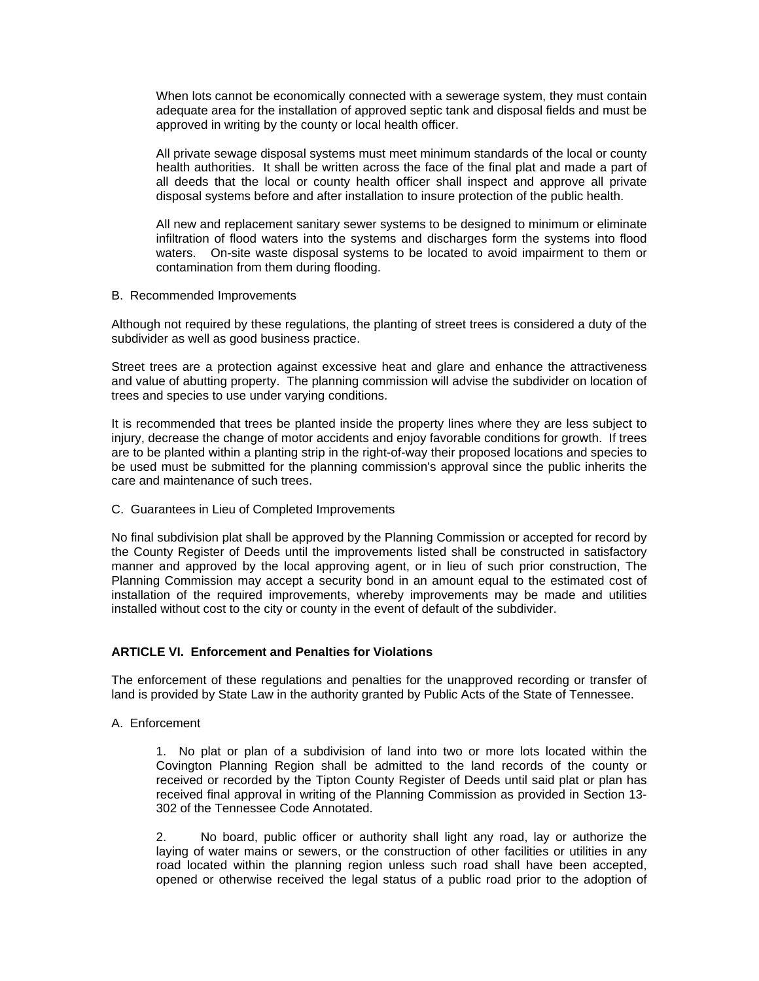When lots cannot be economically connected with a sewerage system, they must contain adequate area for the installation of approved septic tank and disposal fields and must be approved in writing by the county or local health officer.

All private sewage disposal systems must meet minimum standards of the local or county health authorities. It shall be written across the face of the final plat and made a part of all deeds that the local or county health officer shall inspect and approve all private disposal systems before and after installation to insure protection of the public health.

All new and replacement sanitary sewer systems to be designed to minimum or eliminate infiltration of flood waters into the systems and discharges form the systems into flood waters. On-site waste disposal systems to be located to avoid impairment to them or contamination from them during flooding.

B. Recommended Improvements

Although not required by these regulations, the planting of street trees is considered a duty of the subdivider as well as good business practice.

Street trees are a protection against excessive heat and glare and enhance the attractiveness and value of abutting property. The planning commission will advise the subdivider on location of trees and species to use under varying conditions.

It is recommended that trees be planted inside the property lines where they are less subject to injury, decrease the change of motor accidents and enjoy favorable conditions for growth. If trees are to be planted within a planting strip in the right-of-way their proposed locations and species to be used must be submitted for the planning commission's approval since the public inherits the care and maintenance of such trees.

C. Guarantees in Lieu of Completed Improvements

No final subdivision plat shall be approved by the Planning Commission or accepted for record by the County Register of Deeds until the improvements listed shall be constructed in satisfactory manner and approved by the local approving agent, or in lieu of such prior construction, The Planning Commission may accept a security bond in an amount equal to the estimated cost of installation of the required improvements, whereby improvements may be made and utilities installed without cost to the city or county in the event of default of the subdivider.

# **ARTICLE VI. Enforcement and Penalties for Violations**

The enforcement of these regulations and penalties for the unapproved recording or transfer of land is provided by State Law in the authority granted by Public Acts of the State of Tennessee.

A. Enforcement

1. No plat or plan of a subdivision of land into two or more lots located within the Covington Planning Region shall be admitted to the land records of the county or received or recorded by the Tipton County Register of Deeds until said plat or plan has received final approval in writing of the Planning Commission as provided in Section 13- 302 of the Tennessee Code Annotated.

2. No board, public officer or authority shall light any road, lay or authorize the laying of water mains or sewers, or the construction of other facilities or utilities in any road located within the planning region unless such road shall have been accepted, opened or otherwise received the legal status of a public road prior to the adoption of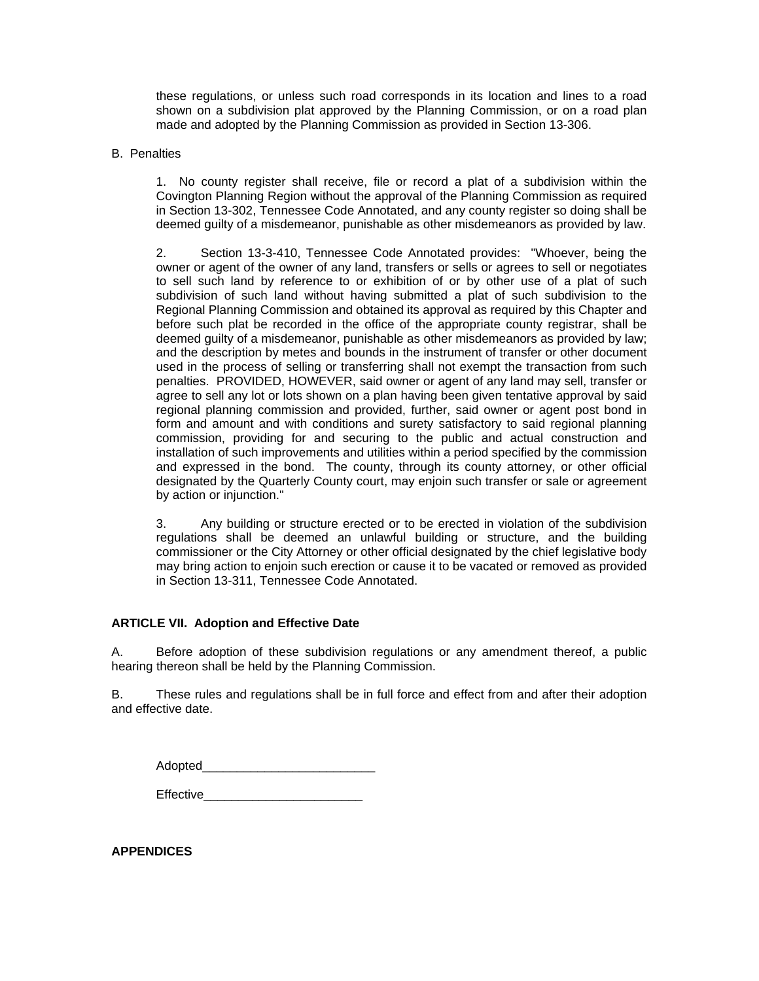these regulations, or unless such road corresponds in its location and lines to a road shown on a subdivision plat approved by the Planning Commission, or on a road plan made and adopted by the Planning Commission as provided in Section 13-306.

## B. Penalties

1. No county register shall receive, file or record a plat of a subdivision within the Covington Planning Region without the approval of the Planning Commission as required in Section 13-302, Tennessee Code Annotated, and any county register so doing shall be deemed guilty of a misdemeanor, punishable as other misdemeanors as provided by law.

2. Section 13-3-410, Tennessee Code Annotated provides: "Whoever, being the owner or agent of the owner of any land, transfers or sells or agrees to sell or negotiates to sell such land by reference to or exhibition of or by other use of a plat of such subdivision of such land without having submitted a plat of such subdivision to the Regional Planning Commission and obtained its approval as required by this Chapter and before such plat be recorded in the office of the appropriate county registrar, shall be deemed guilty of a misdemeanor, punishable as other misdemeanors as provided by law; and the description by metes and bounds in the instrument of transfer or other document used in the process of selling or transferring shall not exempt the transaction from such penalties. PROVIDED, HOWEVER, said owner or agent of any land may sell, transfer or agree to sell any lot or lots shown on a plan having been given tentative approval by said regional planning commission and provided, further, said owner or agent post bond in form and amount and with conditions and surety satisfactory to said regional planning commission, providing for and securing to the public and actual construction and installation of such improvements and utilities within a period specified by the commission and expressed in the bond. The county, through its county attorney, or other official designated by the Quarterly County court, may enjoin such transfer or sale or agreement by action or injunction."

3. Any building or structure erected or to be erected in violation of the subdivision regulations shall be deemed an unlawful building or structure, and the building commissioner or the City Attorney or other official designated by the chief legislative body may bring action to enjoin such erection or cause it to be vacated or removed as provided in Section 13-311, Tennessee Code Annotated.

# **ARTICLE VII. Adoption and Effective Date**

A. Before adoption of these subdivision regulations or any amendment thereof, a public hearing thereon shall be held by the Planning Commission.

B. These rules and regulations shall be in full force and effect from and after their adoption and effective date.

| Adopted   |  |
|-----------|--|
| Effective |  |

**APPENDICES**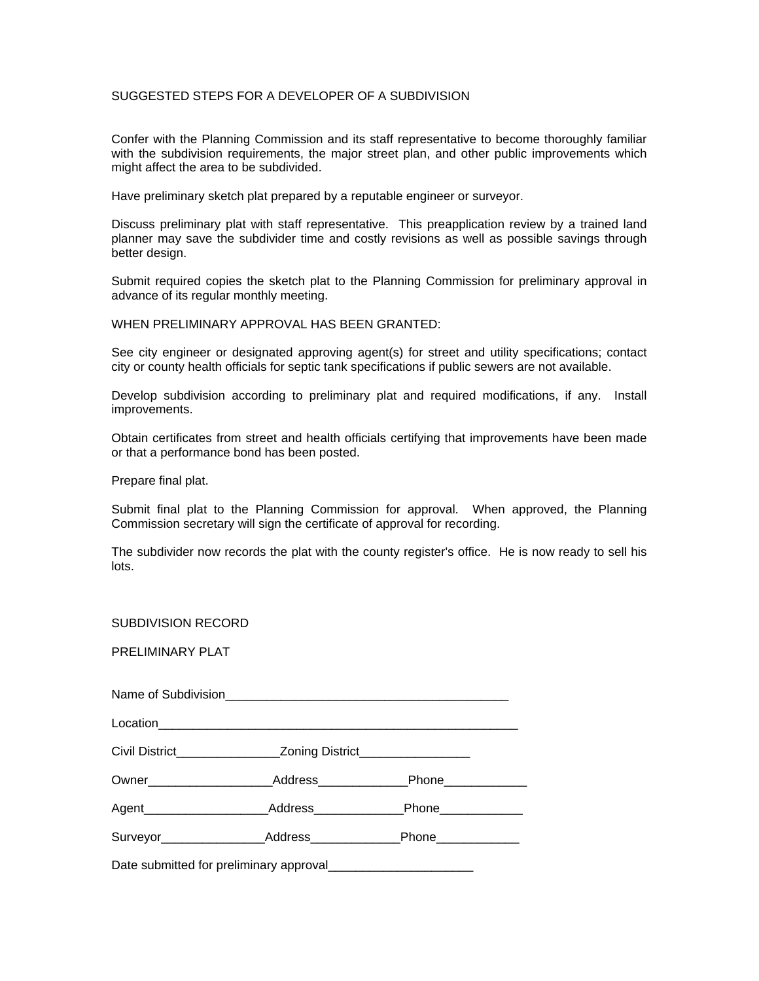## SUGGESTED STEPS FOR A DEVELOPER OF A SUBDIVISION

Confer with the Planning Commission and its staff representative to become thoroughly familiar with the subdivision requirements, the major street plan, and other public improvements which might affect the area to be subdivided.

Have preliminary sketch plat prepared by a reputable engineer or surveyor.

Discuss preliminary plat with staff representative. This preapplication review by a trained land planner may save the subdivider time and costly revisions as well as possible savings through better design.

Submit required copies the sketch plat to the Planning Commission for preliminary approval in advance of its regular monthly meeting.

WHEN PRELIMINARY APPROVAL HAS BEEN GRANTED:

See city engineer or designated approving agent(s) for street and utility specifications; contact city or county health officials for septic tank specifications if public sewers are not available.

Develop subdivision according to preliminary plat and required modifications, if any. Install improvements.

Obtain certificates from street and health officials certifying that improvements have been made or that a performance bond has been posted.

Prepare final plat.

Submit final plat to the Planning Commission for approval. When approved, the Planning Commission secretary will sign the certificate of approval for recording.

The subdivider now records the plat with the county register's office. He is now ready to sell his lots.

#### SUBDIVISION RECORD

PRELIMINARY PLAT

| Owner_______________________ |                                                     | _Address_________________Phone______________ |  |  |  |
|------------------------------|-----------------------------------------------------|----------------------------------------------|--|--|--|
|                              |                                                     | Phone____________                            |  |  |  |
|                              | Surveyor_____________________Address_______________ | Phone_____________                           |  |  |  |

Date submitted for preliminary approval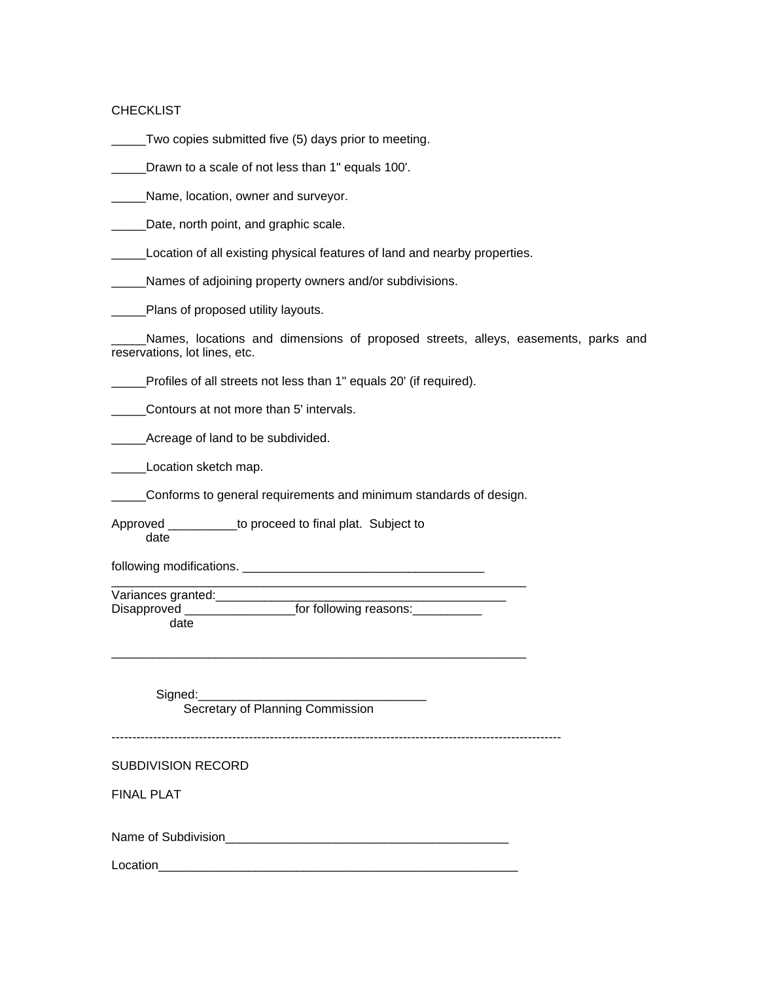### CHECKLIST

Two copies submitted five (5) days prior to meeting.

Drawn to a scale of not less than 1" equals 100'.

\_\_\_\_\_Name, location, owner and surveyor.

**LECT** Date, north point, and graphic scale.

Location of all existing physical features of land and nearby properties.

\_\_\_\_\_Names of adjoining property owners and/or subdivisions.

Plans of proposed utility layouts.

\_\_\_\_\_Names, locations and dimensions of proposed streets, alleys, easements, parks and reservations, lot lines, etc.

\_\_\_\_\_Profiles of all streets not less than 1" equals 20' (if required).

Contours at not more than 5' intervals.

Acreage of land to be subdivided.

Location sketch map.

\_\_\_\_\_Conforms to general requirements and minimum standards of design.

Approved \_\_\_\_\_\_\_\_\_\_to proceed to final plat. Subject to date

following modifications. \_\_\_\_\_\_\_\_\_\_\_\_\_\_\_\_\_\_\_\_\_\_\_\_\_\_\_\_\_\_\_\_\_\_\_

\_\_\_\_\_\_\_\_\_\_\_\_\_\_\_\_\_\_\_\_\_\_\_\_\_\_\_\_\_\_\_\_\_\_\_\_\_\_\_\_\_\_\_\_\_\_\_\_\_\_\_\_\_\_\_\_\_\_\_\_ Variances granted:\_\_\_\_\_\_\_\_\_\_\_\_\_\_\_\_\_\_\_\_\_\_\_\_\_\_\_\_\_\_\_\_\_\_\_\_\_\_\_\_\_\_ Disapproved \_\_\_\_\_\_\_\_\_\_\_\_\_\_\_\_\_\_\_\_\_\_\_for following reasons:\_\_\_\_\_\_\_\_\_\_\_\_\_

date

\_\_\_\_\_\_\_\_\_\_\_\_\_\_\_\_\_\_\_\_\_\_\_\_\_\_\_\_\_\_\_\_\_\_\_\_\_\_\_\_\_\_\_\_\_\_\_\_\_\_\_\_\_\_\_\_\_\_\_\_

Signed:

Secretary of Planning Commission

------------------------------------------------------------------------------------------------------------

## SUBDIVISION RECORD

FINAL PLAT

Name of Subdivision\_\_\_\_\_\_\_\_\_\_\_\_\_\_\_\_\_\_\_\_\_\_\_\_\_\_\_\_\_\_\_\_\_\_\_\_\_\_\_\_\_

Location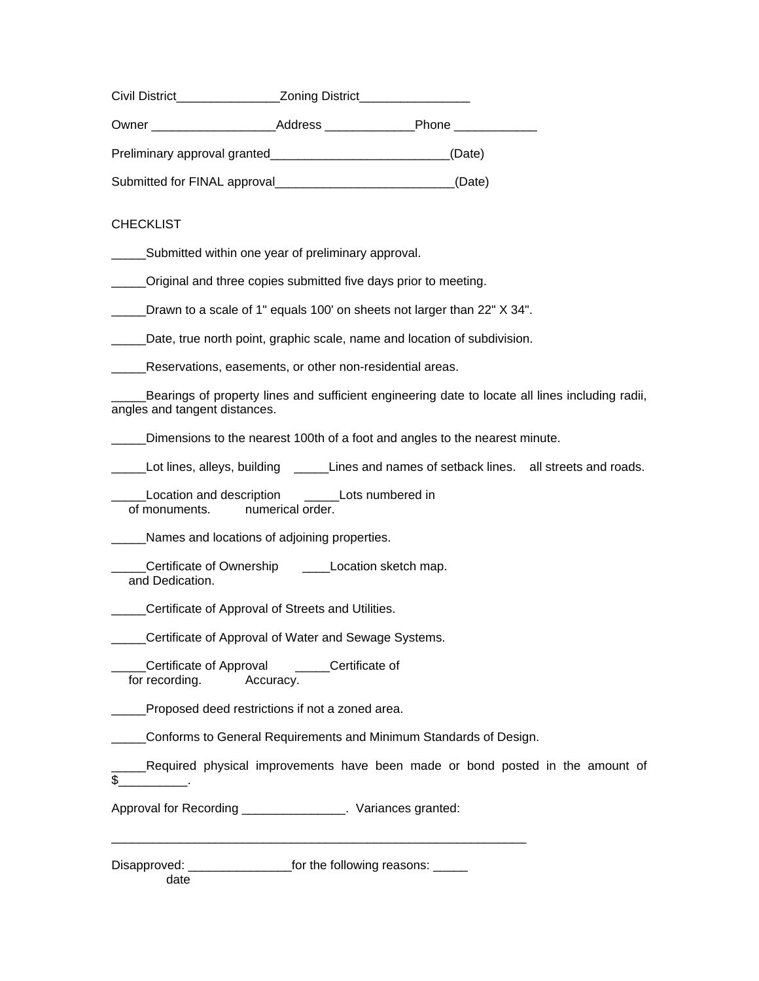| Civil District               | <b>Zoning District</b> |              |
|------------------------------|------------------------|--------------|
| Owner                        | Address                | <b>Phone</b> |
|                              |                        | (Date)       |
| Submitted for FINAL approval |                        | (Date)       |

# **CHECKLIST**

Submitted within one year of preliminary approval.

\_\_\_\_\_Original and three copies submitted five days prior to meeting.

Drawn to a scale of 1" equals 100' on sheets not larger than 22" X 34".

\_\_\_\_\_Date, true north point, graphic scale, name and location of subdivision.

**\_\_\_\_Reservations, easements, or other non-residential areas.** 

Bearings of property lines and sufficient engineering date to locate all lines including radii, angles and tangent distances.

\_\_\_\_\_Dimensions to the nearest 100th of a foot and angles to the nearest minute.

Lot lines, alleys, building **Lines and names of setback lines.** all streets and roads.

Location and description \_\_\_\_\_\_Lots numbered in of monuments. numerical order.

\_\_\_\_\_Names and locations of adjoining properties.

Certificate of Ownership \_\_\_\_\_Location sketch map. and Dedication.

\_\_\_\_\_Certificate of Approval of Streets and Utilities.

**Certificate of Approval of Water and Sewage Systems.** 

\_\_\_\_\_Certificate of Approval \_\_\_\_\_Certificate of for recording. Accuracy.

\_\_\_\_\_Proposed deed restrictions if not a zoned area.

\_\_\_\_\_Conforms to General Requirements and Minimum Standards of Design.

\_\_\_\_\_\_\_\_\_\_\_\_\_\_\_\_\_\_\_\_\_\_\_\_\_\_\_\_\_\_\_\_\_\_\_\_\_\_\_\_\_\_\_\_\_\_\_\_\_\_\_\_\_\_\_\_\_\_\_\_

\_\_\_\_\_Required physical improvements have been made or bond posted in the amount of  $\frac{\S_{\_}$ .

Approval for Recording \_\_\_\_\_\_\_\_\_\_\_\_\_\_\_. Variances granted:

Disapproved: \_\_\_\_\_\_\_\_\_\_\_\_\_\_\_\_\_\_\_\_\_\_\_\_for the following reasons: \_\_\_\_\_\_

date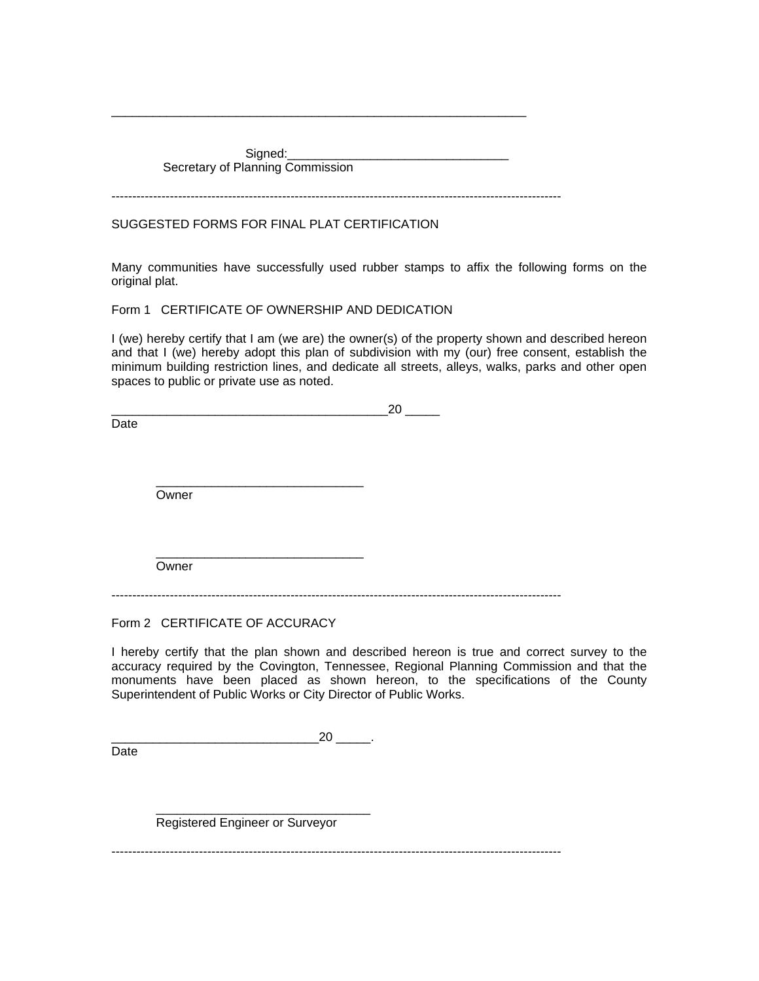Signed: Secretary of Planning Commission

------------------------------------------------------------------------------------------------------------

\_\_\_\_\_\_\_\_\_\_\_\_\_\_\_\_\_\_\_\_\_\_\_\_\_\_\_\_\_\_\_\_\_\_\_\_\_\_\_\_\_\_\_\_\_\_\_\_\_\_\_\_\_\_\_\_\_\_\_\_

# SUGGESTED FORMS FOR FINAL PLAT CERTIFICATION

Many communities have successfully used rubber stamps to affix the following forms on the original plat.

Form 1 CERTIFICATE OF OWNERSHIP AND DEDICATION

I (we) hereby certify that I am (we are) the owner(s) of the property shown and described hereon and that I (we) hereby adopt this plan of subdivision with my (our) free consent, establish the minimum building restriction lines, and dedicate all streets, alleys, walks, parks and other open spaces to public or private use as noted.

|      |       | 20 |
|------|-------|----|
| Date |       |    |
|      |       |    |
|      |       |    |
|      |       |    |
|      | Owner |    |
|      |       |    |
|      |       |    |
|      |       |    |
|      | Owner |    |

------------------------------------------------------------------------------------------------------------

Form 2 CERTIFICATE OF ACCURACY

Date

I hereby certify that the plan shown and described hereon is true and correct survey to the accuracy required by the Covington, Tennessee, Regional Planning Commission and that the monuments have been placed as shown hereon, to the specifications of the County Superintendent of Public Works or City Director of Public Works.

 $20$  .

 $\frac{1}{\sqrt{2}}$  ,  $\frac{1}{\sqrt{2}}$  ,  $\frac{1}{\sqrt{2}}$  ,  $\frac{1}{\sqrt{2}}$  ,  $\frac{1}{\sqrt{2}}$  ,  $\frac{1}{\sqrt{2}}$  ,  $\frac{1}{\sqrt{2}}$  ,  $\frac{1}{\sqrt{2}}$  ,  $\frac{1}{\sqrt{2}}$  ,  $\frac{1}{\sqrt{2}}$  ,  $\frac{1}{\sqrt{2}}$  ,  $\frac{1}{\sqrt{2}}$  ,  $\frac{1}{\sqrt{2}}$  ,  $\frac{1}{\sqrt{2}}$  ,  $\frac{1}{\sqrt{2}}$ Registered Engineer or Surveyor

------------------------------------------------------------------------------------------------------------